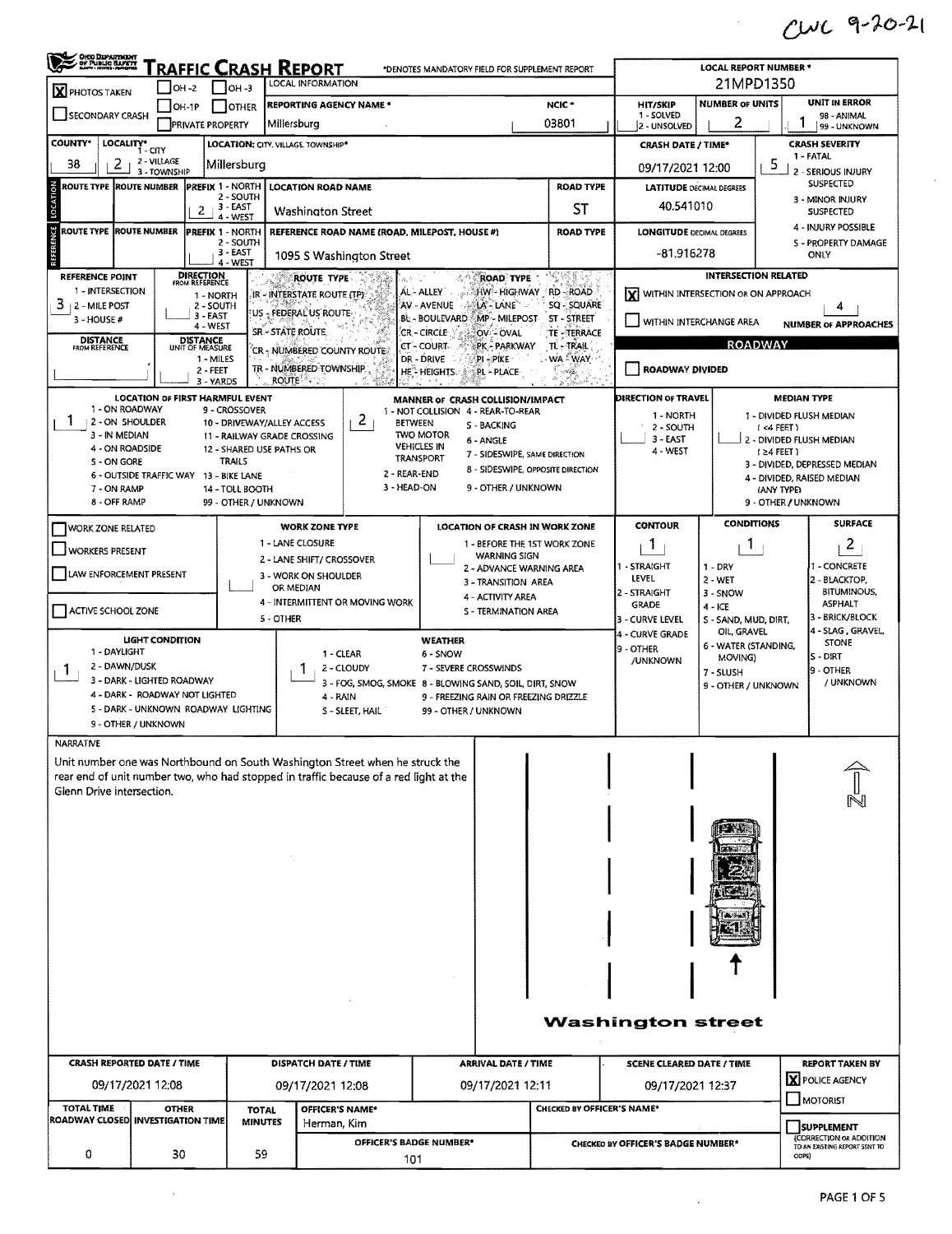## CWC 9-20-21

 $\sim$ 

 $\hat{\boldsymbol{\beta}}$ 

| $\bigcup$ OH -3<br>$OH -2$<br>X PHOTOS TAKEN<br><b>UNIT IN ERROR</b><br><b>NUMBER OF UNITS</b><br>NCIC*<br><b>HIT/SKIP</b><br><b>REPORTING AGENCY NAME *</b><br>$OH-1P$<br>OTHER<br>SECONDARY CRASH<br>1 - SOLVED<br>2<br>03801<br>Millersburg<br><b>PRIVATE PROPERTY</b><br>2 - UNSOLVED<br>LOCALITY* CITY<br><b>COUNTY*</b><br>LOCATION: CITY, VILLAGE, TOWNSHIP*<br><b>CRASH SEVERITY</b><br><b>CRASH DATE / TIME*</b><br>1 - FATAL<br>2 - VILLAGE<br>5<br>38<br>2<br>Millersburg<br>09/17/2021 12:00<br>3 - TOWNSHIP<br>2 - SERIOUS INJURY<br>SUSPECTED<br>ROUTE TYPE ROUTE NUMBER<br>PREFIX 1 - NORTH  <br><b>ROAD TYPE</b><br><b>LOCATION ROAD NAME</b><br><b>LATITUDE DECIMAL DEGREES</b><br>2 - SOUTH<br>3 - MINOR INJURY<br>40.541010<br>3 - EAST<br><b>ST</b><br>2<br><b>Washington Street</b><br><b>SUSPECTED</b><br>$4 - WEST$<br>ROUTE TYPE ROUTE NUMBER<br>REFERENCE ROAD NAME (ROAD, MILEPOST, HOUSE #)<br><b>PREFIX 1 - NORTH</b><br><b>ROAD TYPE</b><br><b>LONGITUDE DECIMAL DEGREES</b><br>2 - SOUTH<br>S - PROPERTY DAMAGE<br>3 - EAST<br>-81.916278<br>ONLY<br>1095 S Washington Street<br>4 - WEST<br><b>DIRECTION</b><br>FROM REFERENCE<br>INTERSECTION RELATED<br><b>REFERENCE POINT</b><br>ROUTE TYPE<br><b>ROAD TYPE</b><br>1 - INTERSECTION<br>AL-ALLEY HIGHWAY RD - ROAD<br><b>Y</b> WITHIN INTERSECTION OR ON APPROACH<br>IR - INTERSTATE ROUTE (TP):<br>1 - NORTH<br>$3 + 2 -$ MILE POST<br>AV - AVENUE<br>$-491A - LANE$<br>SQ - SQUARE<br>2 - SOUTH<br>4<br>US - FEDERAL US ROUTE-<br>3 - EAST<br>BL - BOULEVARD MP - MILEPOST<br>ST-STREET<br>$3 - HOUSE#$<br>WITHIN INTERCHANGE AREA<br>4 WEST<br>SR - STATE ROUTE.<br>CR - CIRCLE<br>TE - TERRACE<br>OV-OVAL<br><b>DISTANCE</b><br><b>DISTANCE</b><br><b>ROADWAY</b><br><b>CT-COURT-</b><br>TL-TRAIL<br>PK - PARKWAY<br><b>FROM REFERENCE</b><br>UNIT OF MEASURE<br>'CR - NUMBERED COUNTY ROUTE<br>DR - DRIVE<br>∴WA <sup>⊵</sup> WAY<br>1 - MILES<br>pi – pike<br>TR - NUMBERED TOWNSHIP<br>ROADWAY DIVIDED<br>2 - FEET<br>HE <sup>*</sup> HEIGHTS.<br>PL - PLACE<br>$-70.00$<br><b>ROUTE</b><br>3 - YARDS<br>941)<br>$\mathbb{R}^{n \times d}$<br><b>LOCATION OF FIRST HARMFUL EVENT</b><br><b>DIRECTION OF TRAVEL</b><br><b>MEDIAN TYPE</b><br>MANNER OF CRASH COLLISION/IMPACT<br>1 - ON ROADWAY<br>9 - CROSSOVER<br>1 - NOT COLLISION 4 - REAR-TO-REAR<br>1 - NORTH<br>1 - DIVIDED FLUSH MEDIAN<br>2<br>1<br>2 - ON SHOULDER<br>10 - DRIVEWAY/ALLEY ACCESS<br><b>BETWEEN</b><br>S - BACKING<br>2 - SOUTH<br>$( < 4$ FEET)<br><b>TWO MOTOR</b><br>3 - IN MEDIAN<br>11 - RAILWAY GRADE CROSSING<br>$3 - EAST$<br>2 - DIVIDED FLUSH MEDIAN<br>6 - ANGLE<br><b>VEHICLES IN</b><br>4 - ON ROADSIDE<br>12 - SHARED USE PATHS OR<br>4 - WEST<br>$(24$ FEET)<br>7 - SIDESWIPE, SAME DIRECTION<br>TRANSPORT<br>S - ON GORE<br><b>TRAILS</b><br>3 - DIVIDED, DEPRESSED MEDIAN<br>8 - SIDESWIPE, OPPOSITE DIRECTION<br>2 - REAR-END<br>6 - OUTSIDE TRAFFIC WAY 13 - BIKE LANE<br>4 - DIVIDED, RAISED MEDIAN<br>3 - HEAD-ON<br>9 - OTHER / UNKNOWN<br>7 - ON RAMP<br>14 - TOLL BOOTH<br>(ANY TYPE)<br>8 - OFF RAMP<br>99 - OTHER / UNKNOWN<br>9 - OTHER / UNKNOWN<br><b>CONDITIONS</b><br><b>CONTOUR</b><br>LOCATION OF CRASH IN WORK ZONE<br><b>WORK ZONE TYPE</b><br><b>WORK ZONE RELATED</b><br>2<br>1 - LANE CLOSURE<br>1<br>1 - BEFORE THE 1ST WORK ZONE<br>$\mathbf{1}$<br><b>WORKERS PRESENT</b><br><b>WARNING SIGN</b><br>2 - LANE SHIFT/ CROSSOVER<br>1 - STRAIGHT<br>$1 - DRY$<br>2 - ADVANCE WARNING AREA<br>LAW ENFORCEMENT PRESENT<br>3 - WORK ON SHOULDER<br>LEVEL<br>2 - BLACKTOP,<br>2 - WET<br>3 - TRANSITION AREA<br>OR MEDIAN<br>2 - STRAIGHT<br>3 - SNOW<br>4 - ACTIVITY AREA<br>4 - INTERMITTENT OR MOVING WORK<br><b>ASPHALT</b><br><b>GRADE</b><br>$4 - ICE$<br>ACTIVE SCHOOL ZONE<br>S - TERMINATION AREA<br>5 - OTHER<br>3 - CURVE LEVEL<br>S - SAND, MUD, DIRT,<br>OIL, GRAVEL<br>4 - CURVE GRADE<br><b>LIGHT CONDITION</b><br><b>WEATHER</b><br>STONE<br>6 - WATER (STANDING,<br>9 - OTHER<br>1 - DAYLIGHT<br>1 - CLEAR<br>6 - SNOW<br>$S - DIRT$<br>MOVING)<br>/UNKNOWN<br>2 - DAWN/DUSK<br>2 - CLOUDY<br>7 - SEVERE CROSSWINDS<br>9 - OTHER<br>1<br>7 - SLUSH<br>3 - DARK - LIGHTED ROADWAY<br>3 - FOG, SMOG, SMOKE 8 - BLOWING SAND, SOIL, DIRT, SNOW<br>9 - OTHER / UNKNOWN<br>4 - DARK - ROADWAY NOT LIGHTED<br>4 - RAIN<br>9 - FREEZING RAIN OR FREEZING DRIZZLE<br>5 - DARK - UNKNOWN ROADWAY LIGHTING<br>S - SLEET, HAIL<br>99 - OTHER / UNKNOWN<br>9 - OTHER / UNKNOWN<br><b>NARRATIVE</b><br>Unit number one was Northbound on South Washington Street when he struck the<br>rear end of unit number two, who had stopped in traffic because of a red light at the<br>Glenn Drive intersection. | ORO DEPARTMENT |                   |  | <b>RAFFIC CRASH REPORT</b> |  |  |  | *DENOTES MANDATORY FIELD FOR SUPPLEMENT REPORT |  | <b>LOCAL REPORT NUMBER *</b> |                               |                             |  |  |  |
|-----------------------------------------------------------------------------------------------------------------------------------------------------------------------------------------------------------------------------------------------------------------------------------------------------------------------------------------------------------------------------------------------------------------------------------------------------------------------------------------------------------------------------------------------------------------------------------------------------------------------------------------------------------------------------------------------------------------------------------------------------------------------------------------------------------------------------------------------------------------------------------------------------------------------------------------------------------------------------------------------------------------------------------------------------------------------------------------------------------------------------------------------------------------------------------------------------------------------------------------------------------------------------------------------------------------------------------------------------------------------------------------------------------------------------------------------------------------------------------------------------------------------------------------------------------------------------------------------------------------------------------------------------------------------------------------------------------------------------------------------------------------------------------------------------------------------------------------------------------------------------------------------------------------------------------------------------------------------------------------------------------------------------------------------------------------------------------------------------------------------------------------------------------------------------------------------------------------------------------------------------------------------------------------------------------------------------------------------------------------------------------------------------------------------------------------------------------------------------------------------------------------------------------------------------------------------------------------------------------------------------------------------------------------------------------------------------------------------------------------------------------------------------------------------------------------------------------------------------------------------------------------------------------------------------------------------------------------------------------------------------------------------------------------------------------------------------------------------------------------------------------------------------------------------------------------------------------------------------------------------------------------------------------------------------------------------------------------------------------------------------------------------------------------------------------------------------------------------------------------------------------------------------------------------------------------------------------------------------------------------------------------------------------------------------------------------------------------------------------------------------------------------------------------------------------------------------------------------------------------------------------------------------------------------------------------------------------------------------------------------------------------------------------------------------------------------------------------------------------------------------------------------------------------------------------------------------------------------------------------------------------------------------------------------------------------------------------------------------------------------------------------------------------------------------------------------------------------------------------------------------------------------------------------------------------------------------------------------------------------------------------------------------------------------------------------------------------------|----------------|-------------------|--|----------------------------|--|--|--|------------------------------------------------|--|------------------------------|-------------------------------|-----------------------------|--|--|--|
| LOCATION<br>REFERENCE                                                                                                                                                                                                                                                                                                                                                                                                                                                                                                                                                                                                                                                                                                                                                                                                                                                                                                                                                                                                                                                                                                                                                                                                                                                                                                                                                                                                                                                                                                                                                                                                                                                                                                                                                                                                                                                                                                                                                                                                                                                                                                                                                                                                                                                                                                                                                                                                                                                                                                                                                                                                                                                                                                                                                                                                                                                                                                                                                                                                                                                                                                                                                                                                                                                                                                                                                                                                                                                                                                                                                                                                                                                                                                                                                                                                                                                                                                                                                                                                                                                                                                                                                                                                                                                                                                                                                                                                                                                                                                                                                                                                                                                                                           |                | LOCAL INFORMATION |  |                            |  |  |  |                                                |  |                              | 21MPD1350                     |                             |  |  |  |
|                                                                                                                                                                                                                                                                                                                                                                                                                                                                                                                                                                                                                                                                                                                                                                                                                                                                                                                                                                                                                                                                                                                                                                                                                                                                                                                                                                                                                                                                                                                                                                                                                                                                                                                                                                                                                                                                                                                                                                                                                                                                                                                                                                                                                                                                                                                                                                                                                                                                                                                                                                                                                                                                                                                                                                                                                                                                                                                                                                                                                                                                                                                                                                                                                                                                                                                                                                                                                                                                                                                                                                                                                                                                                                                                                                                                                                                                                                                                                                                                                                                                                                                                                                                                                                                                                                                                                                                                                                                                                                                                                                                                                                                                                                                 |                |                   |  |                            |  |  |  |                                                |  |                              |                               | 98 - ANIMAL<br>99 - UNKNOWN |  |  |  |
|                                                                                                                                                                                                                                                                                                                                                                                                                                                                                                                                                                                                                                                                                                                                                                                                                                                                                                                                                                                                                                                                                                                                                                                                                                                                                                                                                                                                                                                                                                                                                                                                                                                                                                                                                                                                                                                                                                                                                                                                                                                                                                                                                                                                                                                                                                                                                                                                                                                                                                                                                                                                                                                                                                                                                                                                                                                                                                                                                                                                                                                                                                                                                                                                                                                                                                                                                                                                                                                                                                                                                                                                                                                                                                                                                                                                                                                                                                                                                                                                                                                                                                                                                                                                                                                                                                                                                                                                                                                                                                                                                                                                                                                                                                                 |                |                   |  |                            |  |  |  |                                                |  |                              |                               |                             |  |  |  |
|                                                                                                                                                                                                                                                                                                                                                                                                                                                                                                                                                                                                                                                                                                                                                                                                                                                                                                                                                                                                                                                                                                                                                                                                                                                                                                                                                                                                                                                                                                                                                                                                                                                                                                                                                                                                                                                                                                                                                                                                                                                                                                                                                                                                                                                                                                                                                                                                                                                                                                                                                                                                                                                                                                                                                                                                                                                                                                                                                                                                                                                                                                                                                                                                                                                                                                                                                                                                                                                                                                                                                                                                                                                                                                                                                                                                                                                                                                                                                                                                                                                                                                                                                                                                                                                                                                                                                                                                                                                                                                                                                                                                                                                                                                                 |                |                   |  |                            |  |  |  |                                                |  |                              |                               |                             |  |  |  |
|                                                                                                                                                                                                                                                                                                                                                                                                                                                                                                                                                                                                                                                                                                                                                                                                                                                                                                                                                                                                                                                                                                                                                                                                                                                                                                                                                                                                                                                                                                                                                                                                                                                                                                                                                                                                                                                                                                                                                                                                                                                                                                                                                                                                                                                                                                                                                                                                                                                                                                                                                                                                                                                                                                                                                                                                                                                                                                                                                                                                                                                                                                                                                                                                                                                                                                                                                                                                                                                                                                                                                                                                                                                                                                                                                                                                                                                                                                                                                                                                                                                                                                                                                                                                                                                                                                                                                                                                                                                                                                                                                                                                                                                                                                                 |                |                   |  |                            |  |  |  |                                                |  |                              |                               |                             |  |  |  |
|                                                                                                                                                                                                                                                                                                                                                                                                                                                                                                                                                                                                                                                                                                                                                                                                                                                                                                                                                                                                                                                                                                                                                                                                                                                                                                                                                                                                                                                                                                                                                                                                                                                                                                                                                                                                                                                                                                                                                                                                                                                                                                                                                                                                                                                                                                                                                                                                                                                                                                                                                                                                                                                                                                                                                                                                                                                                                                                                                                                                                                                                                                                                                                                                                                                                                                                                                                                                                                                                                                                                                                                                                                                                                                                                                                                                                                                                                                                                                                                                                                                                                                                                                                                                                                                                                                                                                                                                                                                                                                                                                                                                                                                                                                                 |                |                   |  |                            |  |  |  |                                                |  |                              |                               |                             |  |  |  |
|                                                                                                                                                                                                                                                                                                                                                                                                                                                                                                                                                                                                                                                                                                                                                                                                                                                                                                                                                                                                                                                                                                                                                                                                                                                                                                                                                                                                                                                                                                                                                                                                                                                                                                                                                                                                                                                                                                                                                                                                                                                                                                                                                                                                                                                                                                                                                                                                                                                                                                                                                                                                                                                                                                                                                                                                                                                                                                                                                                                                                                                                                                                                                                                                                                                                                                                                                                                                                                                                                                                                                                                                                                                                                                                                                                                                                                                                                                                                                                                                                                                                                                                                                                                                                                                                                                                                                                                                                                                                                                                                                                                                                                                                                                                 |                |                   |  |                            |  |  |  |                                                |  |                              |                               | 4 - INJURY POSSIBLE         |  |  |  |
|                                                                                                                                                                                                                                                                                                                                                                                                                                                                                                                                                                                                                                                                                                                                                                                                                                                                                                                                                                                                                                                                                                                                                                                                                                                                                                                                                                                                                                                                                                                                                                                                                                                                                                                                                                                                                                                                                                                                                                                                                                                                                                                                                                                                                                                                                                                                                                                                                                                                                                                                                                                                                                                                                                                                                                                                                                                                                                                                                                                                                                                                                                                                                                                                                                                                                                                                                                                                                                                                                                                                                                                                                                                                                                                                                                                                                                                                                                                                                                                                                                                                                                                                                                                                                                                                                                                                                                                                                                                                                                                                                                                                                                                                                                                 |                |                   |  |                            |  |  |  |                                                |  |                              |                               |                             |  |  |  |
|                                                                                                                                                                                                                                                                                                                                                                                                                                                                                                                                                                                                                                                                                                                                                                                                                                                                                                                                                                                                                                                                                                                                                                                                                                                                                                                                                                                                                                                                                                                                                                                                                                                                                                                                                                                                                                                                                                                                                                                                                                                                                                                                                                                                                                                                                                                                                                                                                                                                                                                                                                                                                                                                                                                                                                                                                                                                                                                                                                                                                                                                                                                                                                                                                                                                                                                                                                                                                                                                                                                                                                                                                                                                                                                                                                                                                                                                                                                                                                                                                                                                                                                                                                                                                                                                                                                                                                                                                                                                                                                                                                                                                                                                                                                 |                |                   |  |                            |  |  |  |                                                |  |                              |                               |                             |  |  |  |
|                                                                                                                                                                                                                                                                                                                                                                                                                                                                                                                                                                                                                                                                                                                                                                                                                                                                                                                                                                                                                                                                                                                                                                                                                                                                                                                                                                                                                                                                                                                                                                                                                                                                                                                                                                                                                                                                                                                                                                                                                                                                                                                                                                                                                                                                                                                                                                                                                                                                                                                                                                                                                                                                                                                                                                                                                                                                                                                                                                                                                                                                                                                                                                                                                                                                                                                                                                                                                                                                                                                                                                                                                                                                                                                                                                                                                                                                                                                                                                                                                                                                                                                                                                                                                                                                                                                                                                                                                                                                                                                                                                                                                                                                                                                 |                |                   |  |                            |  |  |  |                                                |  |                              |                               |                             |  |  |  |
|                                                                                                                                                                                                                                                                                                                                                                                                                                                                                                                                                                                                                                                                                                                                                                                                                                                                                                                                                                                                                                                                                                                                                                                                                                                                                                                                                                                                                                                                                                                                                                                                                                                                                                                                                                                                                                                                                                                                                                                                                                                                                                                                                                                                                                                                                                                                                                                                                                                                                                                                                                                                                                                                                                                                                                                                                                                                                                                                                                                                                                                                                                                                                                                                                                                                                                                                                                                                                                                                                                                                                                                                                                                                                                                                                                                                                                                                                                                                                                                                                                                                                                                                                                                                                                                                                                                                                                                                                                                                                                                                                                                                                                                                                                                 |                |                   |  |                            |  |  |  |                                                |  | <b>NUMBER OF APPROACHES</b>  |                               |                             |  |  |  |
|                                                                                                                                                                                                                                                                                                                                                                                                                                                                                                                                                                                                                                                                                                                                                                                                                                                                                                                                                                                                                                                                                                                                                                                                                                                                                                                                                                                                                                                                                                                                                                                                                                                                                                                                                                                                                                                                                                                                                                                                                                                                                                                                                                                                                                                                                                                                                                                                                                                                                                                                                                                                                                                                                                                                                                                                                                                                                                                                                                                                                                                                                                                                                                                                                                                                                                                                                                                                                                                                                                                                                                                                                                                                                                                                                                                                                                                                                                                                                                                                                                                                                                                                                                                                                                                                                                                                                                                                                                                                                                                                                                                                                                                                                                                 |                |                   |  |                            |  |  |  |                                                |  |                              |                               |                             |  |  |  |
|                                                                                                                                                                                                                                                                                                                                                                                                                                                                                                                                                                                                                                                                                                                                                                                                                                                                                                                                                                                                                                                                                                                                                                                                                                                                                                                                                                                                                                                                                                                                                                                                                                                                                                                                                                                                                                                                                                                                                                                                                                                                                                                                                                                                                                                                                                                                                                                                                                                                                                                                                                                                                                                                                                                                                                                                                                                                                                                                                                                                                                                                                                                                                                                                                                                                                                                                                                                                                                                                                                                                                                                                                                                                                                                                                                                                                                                                                                                                                                                                                                                                                                                                                                                                                                                                                                                                                                                                                                                                                                                                                                                                                                                                                                                 |                |                   |  |                            |  |  |  |                                                |  |                              |                               |                             |  |  |  |
|                                                                                                                                                                                                                                                                                                                                                                                                                                                                                                                                                                                                                                                                                                                                                                                                                                                                                                                                                                                                                                                                                                                                                                                                                                                                                                                                                                                                                                                                                                                                                                                                                                                                                                                                                                                                                                                                                                                                                                                                                                                                                                                                                                                                                                                                                                                                                                                                                                                                                                                                                                                                                                                                                                                                                                                                                                                                                                                                                                                                                                                                                                                                                                                                                                                                                                                                                                                                                                                                                                                                                                                                                                                                                                                                                                                                                                                                                                                                                                                                                                                                                                                                                                                                                                                                                                                                                                                                                                                                                                                                                                                                                                                                                                                 |                |                   |  |                            |  |  |  |                                                |  |                              |                               |                             |  |  |  |
|                                                                                                                                                                                                                                                                                                                                                                                                                                                                                                                                                                                                                                                                                                                                                                                                                                                                                                                                                                                                                                                                                                                                                                                                                                                                                                                                                                                                                                                                                                                                                                                                                                                                                                                                                                                                                                                                                                                                                                                                                                                                                                                                                                                                                                                                                                                                                                                                                                                                                                                                                                                                                                                                                                                                                                                                                                                                                                                                                                                                                                                                                                                                                                                                                                                                                                                                                                                                                                                                                                                                                                                                                                                                                                                                                                                                                                                                                                                                                                                                                                                                                                                                                                                                                                                                                                                                                                                                                                                                                                                                                                                                                                                                                                                 |                |                   |  |                            |  |  |  |                                                |  |                              |                               |                             |  |  |  |
|                                                                                                                                                                                                                                                                                                                                                                                                                                                                                                                                                                                                                                                                                                                                                                                                                                                                                                                                                                                                                                                                                                                                                                                                                                                                                                                                                                                                                                                                                                                                                                                                                                                                                                                                                                                                                                                                                                                                                                                                                                                                                                                                                                                                                                                                                                                                                                                                                                                                                                                                                                                                                                                                                                                                                                                                                                                                                                                                                                                                                                                                                                                                                                                                                                                                                                                                                                                                                                                                                                                                                                                                                                                                                                                                                                                                                                                                                                                                                                                                                                                                                                                                                                                                                                                                                                                                                                                                                                                                                                                                                                                                                                                                                                                 |                |                   |  |                            |  |  |  |                                                |  |                              |                               |                             |  |  |  |
|                                                                                                                                                                                                                                                                                                                                                                                                                                                                                                                                                                                                                                                                                                                                                                                                                                                                                                                                                                                                                                                                                                                                                                                                                                                                                                                                                                                                                                                                                                                                                                                                                                                                                                                                                                                                                                                                                                                                                                                                                                                                                                                                                                                                                                                                                                                                                                                                                                                                                                                                                                                                                                                                                                                                                                                                                                                                                                                                                                                                                                                                                                                                                                                                                                                                                                                                                                                                                                                                                                                                                                                                                                                                                                                                                                                                                                                                                                                                                                                                                                                                                                                                                                                                                                                                                                                                                                                                                                                                                                                                                                                                                                                                                                                 |                |                   |  |                            |  |  |  |                                                |  |                              |                               |                             |  |  |  |
|                                                                                                                                                                                                                                                                                                                                                                                                                                                                                                                                                                                                                                                                                                                                                                                                                                                                                                                                                                                                                                                                                                                                                                                                                                                                                                                                                                                                                                                                                                                                                                                                                                                                                                                                                                                                                                                                                                                                                                                                                                                                                                                                                                                                                                                                                                                                                                                                                                                                                                                                                                                                                                                                                                                                                                                                                                                                                                                                                                                                                                                                                                                                                                                                                                                                                                                                                                                                                                                                                                                                                                                                                                                                                                                                                                                                                                                                                                                                                                                                                                                                                                                                                                                                                                                                                                                                                                                                                                                                                                                                                                                                                                                                                                                 |                |                   |  |                            |  |  |  |                                                |  |                              |                               |                             |  |  |  |
|                                                                                                                                                                                                                                                                                                                                                                                                                                                                                                                                                                                                                                                                                                                                                                                                                                                                                                                                                                                                                                                                                                                                                                                                                                                                                                                                                                                                                                                                                                                                                                                                                                                                                                                                                                                                                                                                                                                                                                                                                                                                                                                                                                                                                                                                                                                                                                                                                                                                                                                                                                                                                                                                                                                                                                                                                                                                                                                                                                                                                                                                                                                                                                                                                                                                                                                                                                                                                                                                                                                                                                                                                                                                                                                                                                                                                                                                                                                                                                                                                                                                                                                                                                                                                                                                                                                                                                                                                                                                                                                                                                                                                                                                                                                 |                |                   |  |                            |  |  |  |                                                |  |                              |                               |                             |  |  |  |
|                                                                                                                                                                                                                                                                                                                                                                                                                                                                                                                                                                                                                                                                                                                                                                                                                                                                                                                                                                                                                                                                                                                                                                                                                                                                                                                                                                                                                                                                                                                                                                                                                                                                                                                                                                                                                                                                                                                                                                                                                                                                                                                                                                                                                                                                                                                                                                                                                                                                                                                                                                                                                                                                                                                                                                                                                                                                                                                                                                                                                                                                                                                                                                                                                                                                                                                                                                                                                                                                                                                                                                                                                                                                                                                                                                                                                                                                                                                                                                                                                                                                                                                                                                                                                                                                                                                                                                                                                                                                                                                                                                                                                                                                                                                 |                |                   |  |                            |  |  |  |                                                |  |                              |                               | <b>SURFACE</b>              |  |  |  |
|                                                                                                                                                                                                                                                                                                                                                                                                                                                                                                                                                                                                                                                                                                                                                                                                                                                                                                                                                                                                                                                                                                                                                                                                                                                                                                                                                                                                                                                                                                                                                                                                                                                                                                                                                                                                                                                                                                                                                                                                                                                                                                                                                                                                                                                                                                                                                                                                                                                                                                                                                                                                                                                                                                                                                                                                                                                                                                                                                                                                                                                                                                                                                                                                                                                                                                                                                                                                                                                                                                                                                                                                                                                                                                                                                                                                                                                                                                                                                                                                                                                                                                                                                                                                                                                                                                                                                                                                                                                                                                                                                                                                                                                                                                                 |                |                   |  |                            |  |  |  |                                                |  |                              |                               |                             |  |  |  |
|                                                                                                                                                                                                                                                                                                                                                                                                                                                                                                                                                                                                                                                                                                                                                                                                                                                                                                                                                                                                                                                                                                                                                                                                                                                                                                                                                                                                                                                                                                                                                                                                                                                                                                                                                                                                                                                                                                                                                                                                                                                                                                                                                                                                                                                                                                                                                                                                                                                                                                                                                                                                                                                                                                                                                                                                                                                                                                                                                                                                                                                                                                                                                                                                                                                                                                                                                                                                                                                                                                                                                                                                                                                                                                                                                                                                                                                                                                                                                                                                                                                                                                                                                                                                                                                                                                                                                                                                                                                                                                                                                                                                                                                                                                                 |                |                   |  |                            |  |  |  |                                                |  |                              |                               | 1 - CONCRETE                |  |  |  |
|                                                                                                                                                                                                                                                                                                                                                                                                                                                                                                                                                                                                                                                                                                                                                                                                                                                                                                                                                                                                                                                                                                                                                                                                                                                                                                                                                                                                                                                                                                                                                                                                                                                                                                                                                                                                                                                                                                                                                                                                                                                                                                                                                                                                                                                                                                                                                                                                                                                                                                                                                                                                                                                                                                                                                                                                                                                                                                                                                                                                                                                                                                                                                                                                                                                                                                                                                                                                                                                                                                                                                                                                                                                                                                                                                                                                                                                                                                                                                                                                                                                                                                                                                                                                                                                                                                                                                                                                                                                                                                                                                                                                                                                                                                                 |                |                   |  |                            |  |  |  |                                                |  |                              |                               | <b>BITUMINOUS,</b>          |  |  |  |
|                                                                                                                                                                                                                                                                                                                                                                                                                                                                                                                                                                                                                                                                                                                                                                                                                                                                                                                                                                                                                                                                                                                                                                                                                                                                                                                                                                                                                                                                                                                                                                                                                                                                                                                                                                                                                                                                                                                                                                                                                                                                                                                                                                                                                                                                                                                                                                                                                                                                                                                                                                                                                                                                                                                                                                                                                                                                                                                                                                                                                                                                                                                                                                                                                                                                                                                                                                                                                                                                                                                                                                                                                                                                                                                                                                                                                                                                                                                                                                                                                                                                                                                                                                                                                                                                                                                                                                                                                                                                                                                                                                                                                                                                                                                 |                |                   |  |                            |  |  |  |                                                |  |                              |                               | 3 - BRICK/BLOCK             |  |  |  |
|                                                                                                                                                                                                                                                                                                                                                                                                                                                                                                                                                                                                                                                                                                                                                                                                                                                                                                                                                                                                                                                                                                                                                                                                                                                                                                                                                                                                                                                                                                                                                                                                                                                                                                                                                                                                                                                                                                                                                                                                                                                                                                                                                                                                                                                                                                                                                                                                                                                                                                                                                                                                                                                                                                                                                                                                                                                                                                                                                                                                                                                                                                                                                                                                                                                                                                                                                                                                                                                                                                                                                                                                                                                                                                                                                                                                                                                                                                                                                                                                                                                                                                                                                                                                                                                                                                                                                                                                                                                                                                                                                                                                                                                                                                                 |                |                   |  |                            |  |  |  |                                                |  |                              |                               | 4 - SLAG, GRAVEL,           |  |  |  |
|                                                                                                                                                                                                                                                                                                                                                                                                                                                                                                                                                                                                                                                                                                                                                                                                                                                                                                                                                                                                                                                                                                                                                                                                                                                                                                                                                                                                                                                                                                                                                                                                                                                                                                                                                                                                                                                                                                                                                                                                                                                                                                                                                                                                                                                                                                                                                                                                                                                                                                                                                                                                                                                                                                                                                                                                                                                                                                                                                                                                                                                                                                                                                                                                                                                                                                                                                                                                                                                                                                                                                                                                                                                                                                                                                                                                                                                                                                                                                                                                                                                                                                                                                                                                                                                                                                                                                                                                                                                                                                                                                                                                                                                                                                                 |                |                   |  |                            |  |  |  |                                                |  |                              |                               |                             |  |  |  |
|                                                                                                                                                                                                                                                                                                                                                                                                                                                                                                                                                                                                                                                                                                                                                                                                                                                                                                                                                                                                                                                                                                                                                                                                                                                                                                                                                                                                                                                                                                                                                                                                                                                                                                                                                                                                                                                                                                                                                                                                                                                                                                                                                                                                                                                                                                                                                                                                                                                                                                                                                                                                                                                                                                                                                                                                                                                                                                                                                                                                                                                                                                                                                                                                                                                                                                                                                                                                                                                                                                                                                                                                                                                                                                                                                                                                                                                                                                                                                                                                                                                                                                                                                                                                                                                                                                                                                                                                                                                                                                                                                                                                                                                                                                                 |                |                   |  |                            |  |  |  |                                                |  |                              |                               | / UNKNOWN                   |  |  |  |
|                                                                                                                                                                                                                                                                                                                                                                                                                                                                                                                                                                                                                                                                                                                                                                                                                                                                                                                                                                                                                                                                                                                                                                                                                                                                                                                                                                                                                                                                                                                                                                                                                                                                                                                                                                                                                                                                                                                                                                                                                                                                                                                                                                                                                                                                                                                                                                                                                                                                                                                                                                                                                                                                                                                                                                                                                                                                                                                                                                                                                                                                                                                                                                                                                                                                                                                                                                                                                                                                                                                                                                                                                                                                                                                                                                                                                                                                                                                                                                                                                                                                                                                                                                                                                                                                                                                                                                                                                                                                                                                                                                                                                                                                                                                 |                |                   |  |                            |  |  |  |                                                |  |                              |                               |                             |  |  |  |
|                                                                                                                                                                                                                                                                                                                                                                                                                                                                                                                                                                                                                                                                                                                                                                                                                                                                                                                                                                                                                                                                                                                                                                                                                                                                                                                                                                                                                                                                                                                                                                                                                                                                                                                                                                                                                                                                                                                                                                                                                                                                                                                                                                                                                                                                                                                                                                                                                                                                                                                                                                                                                                                                                                                                                                                                                                                                                                                                                                                                                                                                                                                                                                                                                                                                                                                                                                                                                                                                                                                                                                                                                                                                                                                                                                                                                                                                                                                                                                                                                                                                                                                                                                                                                                                                                                                                                                                                                                                                                                                                                                                                                                                                                                                 |                |                   |  |                            |  |  |  |                                                |  |                              |                               |                             |  |  |  |
|                                                                                                                                                                                                                                                                                                                                                                                                                                                                                                                                                                                                                                                                                                                                                                                                                                                                                                                                                                                                                                                                                                                                                                                                                                                                                                                                                                                                                                                                                                                                                                                                                                                                                                                                                                                                                                                                                                                                                                                                                                                                                                                                                                                                                                                                                                                                                                                                                                                                                                                                                                                                                                                                                                                                                                                                                                                                                                                                                                                                                                                                                                                                                                                                                                                                                                                                                                                                                                                                                                                                                                                                                                                                                                                                                                                                                                                                                                                                                                                                                                                                                                                                                                                                                                                                                                                                                                                                                                                                                                                                                                                                                                                                                                                 |                |                   |  |                            |  |  |  |                                                |  |                              |                               |                             |  |  |  |
|                                                                                                                                                                                                                                                                                                                                                                                                                                                                                                                                                                                                                                                                                                                                                                                                                                                                                                                                                                                                                                                                                                                                                                                                                                                                                                                                                                                                                                                                                                                                                                                                                                                                                                                                                                                                                                                                                                                                                                                                                                                                                                                                                                                                                                                                                                                                                                                                                                                                                                                                                                                                                                                                                                                                                                                                                                                                                                                                                                                                                                                                                                                                                                                                                                                                                                                                                                                                                                                                                                                                                                                                                                                                                                                                                                                                                                                                                                                                                                                                                                                                                                                                                                                                                                                                                                                                                                                                                                                                                                                                                                                                                                                                                                                 |                |                   |  |                            |  |  |  |                                                |  |                              |                               |                             |  |  |  |
|                                                                                                                                                                                                                                                                                                                                                                                                                                                                                                                                                                                                                                                                                                                                                                                                                                                                                                                                                                                                                                                                                                                                                                                                                                                                                                                                                                                                                                                                                                                                                                                                                                                                                                                                                                                                                                                                                                                                                                                                                                                                                                                                                                                                                                                                                                                                                                                                                                                                                                                                                                                                                                                                                                                                                                                                                                                                                                                                                                                                                                                                                                                                                                                                                                                                                                                                                                                                                                                                                                                                                                                                                                                                                                                                                                                                                                                                                                                                                                                                                                                                                                                                                                                                                                                                                                                                                                                                                                                                                                                                                                                                                                                                                                                 |                |                   |  |                            |  |  |  |                                                |  |                              |                               |                             |  |  |  |
|                                                                                                                                                                                                                                                                                                                                                                                                                                                                                                                                                                                                                                                                                                                                                                                                                                                                                                                                                                                                                                                                                                                                                                                                                                                                                                                                                                                                                                                                                                                                                                                                                                                                                                                                                                                                                                                                                                                                                                                                                                                                                                                                                                                                                                                                                                                                                                                                                                                                                                                                                                                                                                                                                                                                                                                                                                                                                                                                                                                                                                                                                                                                                                                                                                                                                                                                                                                                                                                                                                                                                                                                                                                                                                                                                                                                                                                                                                                                                                                                                                                                                                                                                                                                                                                                                                                                                                                                                                                                                                                                                                                                                                                                                                                 |                |                   |  |                            |  |  |  |                                                |  |                              |                               |                             |  |  |  |
|                                                                                                                                                                                                                                                                                                                                                                                                                                                                                                                                                                                                                                                                                                                                                                                                                                                                                                                                                                                                                                                                                                                                                                                                                                                                                                                                                                                                                                                                                                                                                                                                                                                                                                                                                                                                                                                                                                                                                                                                                                                                                                                                                                                                                                                                                                                                                                                                                                                                                                                                                                                                                                                                                                                                                                                                                                                                                                                                                                                                                                                                                                                                                                                                                                                                                                                                                                                                                                                                                                                                                                                                                                                                                                                                                                                                                                                                                                                                                                                                                                                                                                                                                                                                                                                                                                                                                                                                                                                                                                                                                                                                                                                                                                                 |                |                   |  |                            |  |  |  |                                                |  |                              |                               |                             |  |  |  |
|                                                                                                                                                                                                                                                                                                                                                                                                                                                                                                                                                                                                                                                                                                                                                                                                                                                                                                                                                                                                                                                                                                                                                                                                                                                                                                                                                                                                                                                                                                                                                                                                                                                                                                                                                                                                                                                                                                                                                                                                                                                                                                                                                                                                                                                                                                                                                                                                                                                                                                                                                                                                                                                                                                                                                                                                                                                                                                                                                                                                                                                                                                                                                                                                                                                                                                                                                                                                                                                                                                                                                                                                                                                                                                                                                                                                                                                                                                                                                                                                                                                                                                                                                                                                                                                                                                                                                                                                                                                                                                                                                                                                                                                                                                                 |                |                   |  |                            |  |  |  |                                                |  |                              |                               |                             |  |  |  |
|                                                                                                                                                                                                                                                                                                                                                                                                                                                                                                                                                                                                                                                                                                                                                                                                                                                                                                                                                                                                                                                                                                                                                                                                                                                                                                                                                                                                                                                                                                                                                                                                                                                                                                                                                                                                                                                                                                                                                                                                                                                                                                                                                                                                                                                                                                                                                                                                                                                                                                                                                                                                                                                                                                                                                                                                                                                                                                                                                                                                                                                                                                                                                                                                                                                                                                                                                                                                                                                                                                                                                                                                                                                                                                                                                                                                                                                                                                                                                                                                                                                                                                                                                                                                                                                                                                                                                                                                                                                                                                                                                                                                                                                                                                                 |                |                   |  |                            |  |  |  |                                                |  |                              |                               |                             |  |  |  |
|                                                                                                                                                                                                                                                                                                                                                                                                                                                                                                                                                                                                                                                                                                                                                                                                                                                                                                                                                                                                                                                                                                                                                                                                                                                                                                                                                                                                                                                                                                                                                                                                                                                                                                                                                                                                                                                                                                                                                                                                                                                                                                                                                                                                                                                                                                                                                                                                                                                                                                                                                                                                                                                                                                                                                                                                                                                                                                                                                                                                                                                                                                                                                                                                                                                                                                                                                                                                                                                                                                                                                                                                                                                                                                                                                                                                                                                                                                                                                                                                                                                                                                                                                                                                                                                                                                                                                                                                                                                                                                                                                                                                                                                                                                                 |                |                   |  |                            |  |  |  |                                                |  |                              |                               |                             |  |  |  |
|                                                                                                                                                                                                                                                                                                                                                                                                                                                                                                                                                                                                                                                                                                                                                                                                                                                                                                                                                                                                                                                                                                                                                                                                                                                                                                                                                                                                                                                                                                                                                                                                                                                                                                                                                                                                                                                                                                                                                                                                                                                                                                                                                                                                                                                                                                                                                                                                                                                                                                                                                                                                                                                                                                                                                                                                                                                                                                                                                                                                                                                                                                                                                                                                                                                                                                                                                                                                                                                                                                                                                                                                                                                                                                                                                                                                                                                                                                                                                                                                                                                                                                                                                                                                                                                                                                                                                                                                                                                                                                                                                                                                                                                                                                                 |                |                   |  |                            |  |  |  |                                                |  |                              |                               |                             |  |  |  |
|                                                                                                                                                                                                                                                                                                                                                                                                                                                                                                                                                                                                                                                                                                                                                                                                                                                                                                                                                                                                                                                                                                                                                                                                                                                                                                                                                                                                                                                                                                                                                                                                                                                                                                                                                                                                                                                                                                                                                                                                                                                                                                                                                                                                                                                                                                                                                                                                                                                                                                                                                                                                                                                                                                                                                                                                                                                                                                                                                                                                                                                                                                                                                                                                                                                                                                                                                                                                                                                                                                                                                                                                                                                                                                                                                                                                                                                                                                                                                                                                                                                                                                                                                                                                                                                                                                                                                                                                                                                                                                                                                                                                                                                                                                                 |                |                   |  |                            |  |  |  |                                                |  |                              |                               |                             |  |  |  |
|                                                                                                                                                                                                                                                                                                                                                                                                                                                                                                                                                                                                                                                                                                                                                                                                                                                                                                                                                                                                                                                                                                                                                                                                                                                                                                                                                                                                                                                                                                                                                                                                                                                                                                                                                                                                                                                                                                                                                                                                                                                                                                                                                                                                                                                                                                                                                                                                                                                                                                                                                                                                                                                                                                                                                                                                                                                                                                                                                                                                                                                                                                                                                                                                                                                                                                                                                                                                                                                                                                                                                                                                                                                                                                                                                                                                                                                                                                                                                                                                                                                                                                                                                                                                                                                                                                                                                                                                                                                                                                                                                                                                                                                                                                                 |                |                   |  |                            |  |  |  |                                                |  |                              |                               |                             |  |  |  |
|                                                                                                                                                                                                                                                                                                                                                                                                                                                                                                                                                                                                                                                                                                                                                                                                                                                                                                                                                                                                                                                                                                                                                                                                                                                                                                                                                                                                                                                                                                                                                                                                                                                                                                                                                                                                                                                                                                                                                                                                                                                                                                                                                                                                                                                                                                                                                                                                                                                                                                                                                                                                                                                                                                                                                                                                                                                                                                                                                                                                                                                                                                                                                                                                                                                                                                                                                                                                                                                                                                                                                                                                                                                                                                                                                                                                                                                                                                                                                                                                                                                                                                                                                                                                                                                                                                                                                                                                                                                                                                                                                                                                                                                                                                                 |                |                   |  |                            |  |  |  |                                                |  |                              |                               |                             |  |  |  |
| <b>Washington street</b>                                                                                                                                                                                                                                                                                                                                                                                                                                                                                                                                                                                                                                                                                                                                                                                                                                                                                                                                                                                                                                                                                                                                                                                                                                                                                                                                                                                                                                                                                                                                                                                                                                                                                                                                                                                                                                                                                                                                                                                                                                                                                                                                                                                                                                                                                                                                                                                                                                                                                                                                                                                                                                                                                                                                                                                                                                                                                                                                                                                                                                                                                                                                                                                                                                                                                                                                                                                                                                                                                                                                                                                                                                                                                                                                                                                                                                                                                                                                                                                                                                                                                                                                                                                                                                                                                                                                                                                                                                                                                                                                                                                                                                                                                        |                |                   |  |                            |  |  |  |                                                |  |                              |                               |                             |  |  |  |
| <b>CRASH REPORTED DATE / TIME</b><br>DISPATCH DATE / TIME<br><b>ARRIVAL DATE / TIME</b><br><b>SCENE CLEARED DATE / TIME</b>                                                                                                                                                                                                                                                                                                                                                                                                                                                                                                                                                                                                                                                                                                                                                                                                                                                                                                                                                                                                                                                                                                                                                                                                                                                                                                                                                                                                                                                                                                                                                                                                                                                                                                                                                                                                                                                                                                                                                                                                                                                                                                                                                                                                                                                                                                                                                                                                                                                                                                                                                                                                                                                                                                                                                                                                                                                                                                                                                                                                                                                                                                                                                                                                                                                                                                                                                                                                                                                                                                                                                                                                                                                                                                                                                                                                                                                                                                                                                                                                                                                                                                                                                                                                                                                                                                                                                                                                                                                                                                                                                                                     |                |                   |  |                            |  |  |  |                                                |  |                              |                               | <b>REPORT TAKEN BY</b>      |  |  |  |
| X POLICE AGENCY<br>09/17/2021 12:08<br>09/17/2021 12:11<br>09/17/2021 12:08<br>09/17/2021 12:37                                                                                                                                                                                                                                                                                                                                                                                                                                                                                                                                                                                                                                                                                                                                                                                                                                                                                                                                                                                                                                                                                                                                                                                                                                                                                                                                                                                                                                                                                                                                                                                                                                                                                                                                                                                                                                                                                                                                                                                                                                                                                                                                                                                                                                                                                                                                                                                                                                                                                                                                                                                                                                                                                                                                                                                                                                                                                                                                                                                                                                                                                                                                                                                                                                                                                                                                                                                                                                                                                                                                                                                                                                                                                                                                                                                                                                                                                                                                                                                                                                                                                                                                                                                                                                                                                                                                                                                                                                                                                                                                                                                                                 |                |                   |  |                            |  |  |  |                                                |  |                              |                               |                             |  |  |  |
| <b>MOTORIST</b><br><b>TOTAL TIME</b><br>OFFICER'S NAME*<br>CHECKED BY OFFICER'S NAME*<br><b>OTHER</b><br><b>TOTAL</b><br>ROADWAY CLOSED INVESTIGATION TIME<br><b>MINUTES</b>                                                                                                                                                                                                                                                                                                                                                                                                                                                                                                                                                                                                                                                                                                                                                                                                                                                                                                                                                                                                                                                                                                                                                                                                                                                                                                                                                                                                                                                                                                                                                                                                                                                                                                                                                                                                                                                                                                                                                                                                                                                                                                                                                                                                                                                                                                                                                                                                                                                                                                                                                                                                                                                                                                                                                                                                                                                                                                                                                                                                                                                                                                                                                                                                                                                                                                                                                                                                                                                                                                                                                                                                                                                                                                                                                                                                                                                                                                                                                                                                                                                                                                                                                                                                                                                                                                                                                                                                                                                                                                                                    |                |                   |  |                            |  |  |  |                                                |  |                              |                               |                             |  |  |  |
| Herman, Kim<br><b>SUPPLEMENT</b><br>OFFICER'S BADGE NUMBER*<br>CHECKED BY OFFICER'S BADGE NUMBER*                                                                                                                                                                                                                                                                                                                                                                                                                                                                                                                                                                                                                                                                                                                                                                                                                                                                                                                                                                                                                                                                                                                                                                                                                                                                                                                                                                                                                                                                                                                                                                                                                                                                                                                                                                                                                                                                                                                                                                                                                                                                                                                                                                                                                                                                                                                                                                                                                                                                                                                                                                                                                                                                                                                                                                                                                                                                                                                                                                                                                                                                                                                                                                                                                                                                                                                                                                                                                                                                                                                                                                                                                                                                                                                                                                                                                                                                                                                                                                                                                                                                                                                                                                                                                                                                                                                                                                                                                                                                                                                                                                                                               |                |                   |  |                            |  |  |  |                                                |  |                              |                               | (CORRECTION OR ADDITION     |  |  |  |
| 0<br>59<br>30<br>ODPS)<br>101                                                                                                                                                                                                                                                                                                                                                                                                                                                                                                                                                                                                                                                                                                                                                                                                                                                                                                                                                                                                                                                                                                                                                                                                                                                                                                                                                                                                                                                                                                                                                                                                                                                                                                                                                                                                                                                                                                                                                                                                                                                                                                                                                                                                                                                                                                                                                                                                                                                                                                                                                                                                                                                                                                                                                                                                                                                                                                                                                                                                                                                                                                                                                                                                                                                                                                                                                                                                                                                                                                                                                                                                                                                                                                                                                                                                                                                                                                                                                                                                                                                                                                                                                                                                                                                                                                                                                                                                                                                                                                                                                                                                                                                                                   |                |                   |  |                            |  |  |  |                                                |  |                              | TO AN EXISTING REPORT SENT TO |                             |  |  |  |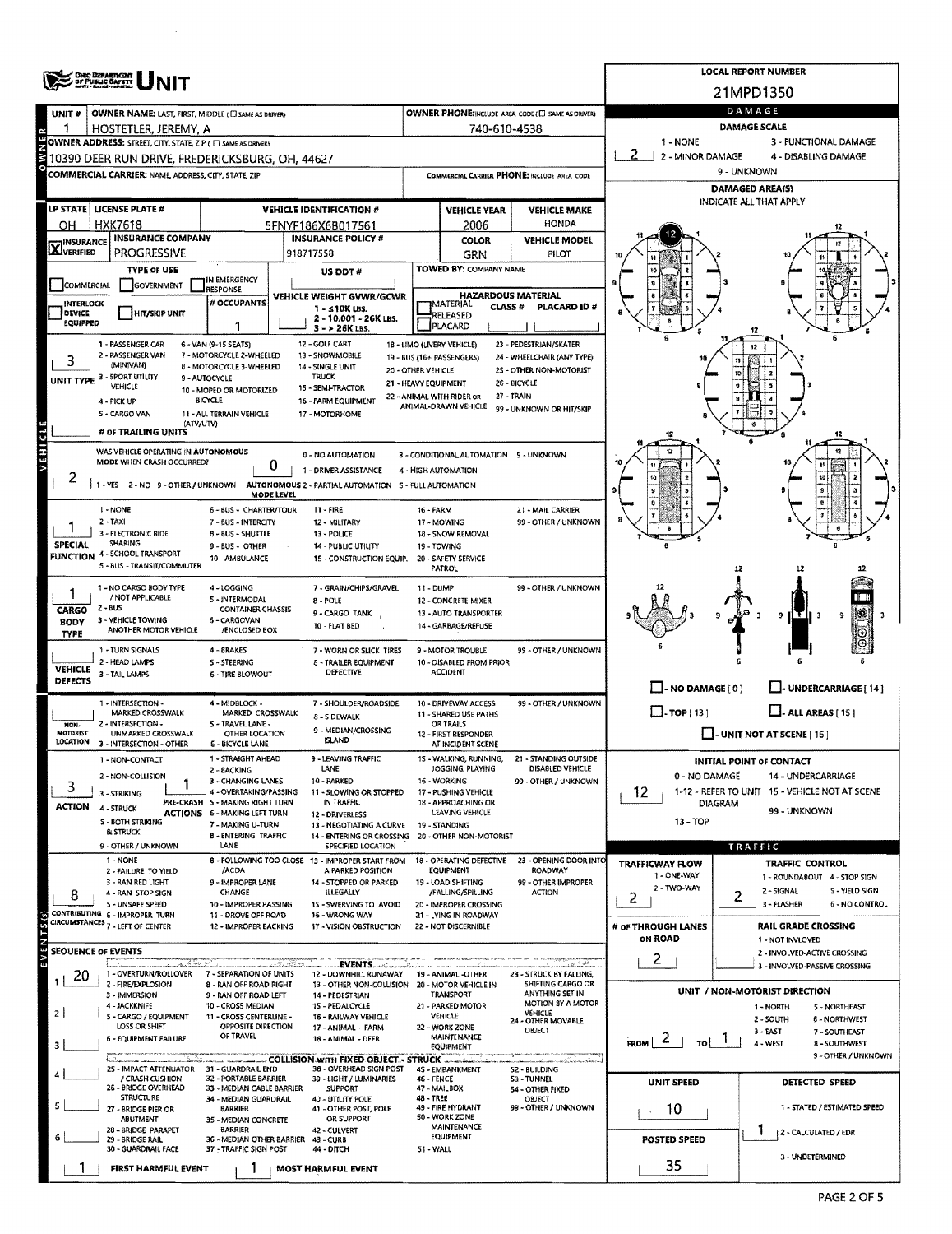|                                       | <b>ONO DEPARTIGHT</b>                                                                                                                                            |                                                           | <b>LOCAL REPORT NUMBER</b>                                                               |                                                                     |                                                   |                                          |                                                                         |                                                       |  |  |  |  |
|---------------------------------------|------------------------------------------------------------------------------------------------------------------------------------------------------------------|-----------------------------------------------------------|------------------------------------------------------------------------------------------|---------------------------------------------------------------------|---------------------------------------------------|------------------------------------------|-------------------------------------------------------------------------|-------------------------------------------------------|--|--|--|--|
|                                       |                                                                                                                                                                  |                                                           |                                                                                          |                                                                     | 21MPD1350                                         |                                          |                                                                         |                                                       |  |  |  |  |
| UNIT <sup>#</sup>                     | OWNER NAME: LAST, FIRST, MIDDLE (C) SAME AS DRIVER)                                                                                                              |                                                           |                                                                                          | OWNER PHONE:INCLUDE AREA CODE (E) SAME AS ORIVER)                   | DAMAGE                                            |                                          |                                                                         |                                                       |  |  |  |  |
| 1                                     | HOSTETLER, JEREMY, A                                                                                                                                             |                                                           |                                                                                          |                                                                     | 740-610-4538                                      |                                          | <b>DAMAGE SCALE</b><br>1 - NONE<br>3 - FUNCTIONAL DAMAGE                |                                                       |  |  |  |  |
|                                       | OWNER ADDRESS: STREET, CITY, STATE, ZIP ( C) SAME AS DRIVERS<br>2<br>2 - MINOR DAMAGE<br>4 - DISABLING DAMAGE<br>10390 DEER RUN DRIVE, FREDERICKSBURG, OH, 44627 |                                                           |                                                                                          |                                                                     |                                                   |                                          |                                                                         |                                                       |  |  |  |  |
|                                       | COMMERCIAL CARRIER: NAME, ADDRESS, CITY, STATE, ZIP                                                                                                              |                                                           | COMMERCIAL CARRIER PHONE: INCLUDE AREA CODE                                              | 9 - UNKNOWN                                                         |                                                   |                                          |                                                                         |                                                       |  |  |  |  |
|                                       |                                                                                                                                                                  |                                                           |                                                                                          |                                                                     |                                                   | <b>DAMAGED AREA(S)</b>                   |                                                                         |                                                       |  |  |  |  |
|                                       | LP STATE   LICENSE PLATE #                                                                                                                                       |                                                           | <b>VEHICLE IDENTIFICATION #</b>                                                          |                                                                     | <b>VEHICLE YEAR</b>                               | <b>VEHICLE MAKE</b>                      | INDICATE ALL THAT APPLY                                                 |                                                       |  |  |  |  |
| он                                    | HXK7618                                                                                                                                                          |                                                           | 5FNYF186X6B017561                                                                        | <b>HONDA</b><br>2006                                                |                                                   |                                          |                                                                         |                                                       |  |  |  |  |
| <b>INSURANCE</b><br><b>X</b> VERIFIED | <b>INSURANCE COMPANY</b><br><b>PROGRESSIVE</b>                                                                                                                   |                                                           | <b>INSURANCE POLICY #</b><br>918717558                                                   |                                                                     | <b>COLOR</b>                                      | <b>VEHICLE MODEL</b><br>PILOT            |                                                                         |                                                       |  |  |  |  |
|                                       | <b>TYPE OF USE</b>                                                                                                                                               |                                                           | US DDT#                                                                                  |                                                                     | <b>GRN</b><br>TOWED BY: COMPANY NAME              |                                          |                                                                         |                                                       |  |  |  |  |
| <b>COMMERCIAL</b>                     | GOVERNMENT                                                                                                                                                       | IN EMERGENCY<br><b>RESPONSE</b>                           |                                                                                          |                                                                     |                                                   |                                          |                                                                         |                                                       |  |  |  |  |
| INTERLOCK                             |                                                                                                                                                                  | VEHICLE WEIGHT GVWR/GCWR<br># OCCUPANTS                   |                                                                                          | <b>HAZARDOUS MATERIAL</b><br><b>IMATERIAL</b><br>CLASS <sup>#</sup> | <b>PLACARD ID#</b>                                |                                          |                                                                         |                                                       |  |  |  |  |
| <b>DEVICE</b><br><b>EQUIPPED</b>      | <b>HIT/SKIP UNIT</b>                                                                                                                                             | -1                                                        | 1 - s10K LBS.<br>2 - 10.001 - 26K LBS.<br>$3 - 26K$ LBS.                                 |                                                                     | RELEASED<br>PLACARD                               |                                          |                                                                         |                                                       |  |  |  |  |
|                                       | 1 - PASSENGER CAR                                                                                                                                                | 6 - VAN (9-15 SEATS)                                      | 12 - GOLF CART                                                                           |                                                                     | 18 - LIMO (LIVERY VEHICLE)                        | 23 - PEDESTRIAN/SKATER                   |                                                                         |                                                       |  |  |  |  |
|                                       | 2 - PASSENGER VAN<br>(MINIVAN)                                                                                                                                   | 7 - MOTORCYCLE 2-WHEELED<br>8 - MOTORCYCLE 3-WHEELED      | 13 - SNOWMOBILE<br>14 - SINGLE UNIT                                                      |                                                                     | 19 - BUS (16+ PASSENGERS)                         | 24 - WHEELCHAIR (ANY TYPE)               |                                                                         |                                                       |  |  |  |  |
|                                       | <b>UNIT TYPE 3 - SPORT UTILITY</b><br>VEHICLE                                                                                                                    | 9 - AUTOCYCLE                                             | <b>TRUCK</b>                                                                             | 20 - OTHER VEHICLE<br>21 - HEAVY EQUIPMENT                          |                                                   | 25 - OTHER NON-MOTORIST<br>26 - BICYCLE  |                                                                         |                                                       |  |  |  |  |
|                                       | 4 - PICK UP                                                                                                                                                      | 10 - MOPED OR MOTORIZED<br>BICYCLE                        | 15 - SEMI-TRACTOR<br>16 - FARM EQUIPMENT                                                 |                                                                     | 22 - ANIMAL WITH RIDER OR<br>ANIMAL-DRAWN VEHICLE | 27 - TRAIN                               |                                                                         |                                                       |  |  |  |  |
|                                       | S - CARGO VAN<br>(ATV/UTV)                                                                                                                                       | 11 - ALL TERRAIN VEHICLE                                  | 17 - MOTORHOME                                                                           |                                                                     |                                                   | 99 - UNKNOWN OR HIT/SKIP                 |                                                                         |                                                       |  |  |  |  |
|                                       | # OF TRAILING UNITS                                                                                                                                              |                                                           |                                                                                          |                                                                     |                                                   |                                          |                                                                         |                                                       |  |  |  |  |
| VEHICLE                               | WAS VEHICLE OPERATING IN AUTONOMOUS<br>MODE WHEN CRASH OCCURRED?                                                                                                 |                                                           | 0 - NO AUTOMATION                                                                        |                                                                     | 3 - CONDITIONAL AUTOMATION 9 - UNKNOWN            |                                          |                                                                         |                                                       |  |  |  |  |
| ۷                                     |                                                                                                                                                                  | 0                                                         | 1 - DRIVER ASSISTANCE                                                                    |                                                                     | 4 - HIGH AUTOMATION                               |                                          |                                                                         |                                                       |  |  |  |  |
|                                       |                                                                                                                                                                  | MODE LEVEL                                                | 1 - YES 2 - NO 9 - OTHER / UNKNOWN AUTONOMOUS 2 - PARTIAL AUTOMATION 5 - FULL AUTOMATION |                                                                     |                                                   |                                          |                                                                         |                                                       |  |  |  |  |
|                                       | 1 - NONE                                                                                                                                                         | 6 - BUS - CHARTER/TOUR                                    | 11 - FIRE                                                                                | <b>16 - FARM</b>                                                    |                                                   | 21 - MAIL CARRIER                        |                                                                         |                                                       |  |  |  |  |
|                                       | 2 - TAXI<br>3 - ELECTRONIC RIDE                                                                                                                                  | 7 - BUS - INTERCITY<br>8 - BUS - SHUTTLE                  | 12 - MILITARY<br>13 - POLICE                                                             |                                                                     | 17 - MOWING<br>18 - SNOW REMOVAL                  | 99 - OTHER / UNKNOWN                     |                                                                         |                                                       |  |  |  |  |
| <b>SPECIAL</b>                        | <b>SHARING</b><br><b>FUNCTION 4 - SCHOOL TRANSPORT</b>                                                                                                           | 9 - BUS - OTHER                                           | <b>14 - PUBLIC UTILITY</b>                                                               |                                                                     | 19 - TOWING                                       |                                          |                                                                         |                                                       |  |  |  |  |
|                                       | 5 - BUS - TRANSIT/COMMUTER                                                                                                                                       | 10 - AMBULANCE                                            | 15 - CONSTRUCTION EQUIP.                                                                 |                                                                     | 20 - SAFETY SERVICE<br>PATROL                     |                                          |                                                                         |                                                       |  |  |  |  |
|                                       | 1 - NO CARGO BODY TYPE                                                                                                                                           | 4 - LOGGING                                               | 7 - GRAIN/CHIPS/GRAVEL                                                                   | 11 - DUMP                                                           |                                                   | 99 - OTHER / UNKNOWN                     |                                                                         |                                                       |  |  |  |  |
| CARGO                                 | / NOT APPLICABLE<br>2 - BUS                                                                                                                                      | 5 - INTERMODAL<br><b>CONTAINER CHASSIS</b>                | 8 - POLE<br>9 - CARGO TANK                                                               |                                                                     | 12 - CONCRETE MIXER<br>13 - AUTO TRANSPORTER      |                                          |                                                                         |                                                       |  |  |  |  |
| <b>BODY</b>                           | 3 - VEHICLE TOWING<br>ANOTHER MOTOR VEHICLE                                                                                                                      | 6 - CARGOVAN<br>/ENCLOSED BOX                             | 10 - FLAT BED                                                                            |                                                                     | 14 - GARBAGE/REFUSE                               |                                          | 9                                                                       |                                                       |  |  |  |  |
| <b>TYPE</b>                           | 1 - TURN SIGNALS                                                                                                                                                 | 4 - BRAKES                                                | 7 - WORN OR SLICK TIRES                                                                  |                                                                     | 9 - MOTOR TROUBLE                                 | 99 - OTHER / UNKNOWN                     |                                                                         |                                                       |  |  |  |  |
| <b>VEHICLE</b>                        | 2 - HEAD LAMPS                                                                                                                                                   | <b>S-STEERING</b>                                         | <b>B - TRAILER EQUIPMENT</b>                                                             |                                                                     | 10 - DISABLED FROM PRIOR                          |                                          |                                                                         |                                                       |  |  |  |  |
| DEFECTS                               | 3 - TAIL LAMPS                                                                                                                                                   | <b>6 - TIRE BLOWOUT</b>                                   | DEFECTIVE                                                                                |                                                                     | <b>ACCIDENT</b>                                   |                                          | $\Box$ - NO DAMAGE [ 0 ]                                                | U-UNDERCARRIAGE [ 14 ]                                |  |  |  |  |
|                                       | 1 - INTERSECTION -                                                                                                                                               | 4 - MIDBLOCK -                                            | 7 - SHOULDER/ROADSIDE                                                                    |                                                                     | 10 - DRIVEWAY ACCESS                              | 99 - OTHER / UNKNOWN                     | $\Box$ -TOP[13]                                                         |                                                       |  |  |  |  |
| NON-                                  | MARKED CROSSWALK<br>2 - INTERSECTION -                                                                                                                           | MARKED CROSSWALK<br>5 - TRAVEL LANE -                     | 8 - SIDEWALK                                                                             |                                                                     | 11 - SHARED USE PATHS<br>OR TRAILS                |                                          | $\Box$ - ALL AREAS [15]                                                 |                                                       |  |  |  |  |
| <b>MOTORIST</b><br>LOCATION           | UNMARKED CROSSWALK<br>3 - INTERSECTION - OTHER                                                                                                                   | OTHER LOCATION<br><b>6 - BICYCLE LANE</b>                 | 9 - MEDIAN/CROSSING<br><b>ISLAND</b>                                                     |                                                                     | 12 - FIRST RESPONDER<br>AT INCIDENT SCENE         |                                          | $\Box$ - UNIT NOT AT SCENE [16]                                         |                                                       |  |  |  |  |
|                                       | 1 - NON-CONTACT                                                                                                                                                  | 1 - STRAIGHT AHEAD                                        | 9 - LEAVING TRAFFIC                                                                      |                                                                     | 15 - WALKING, RUNNING,                            | 21 - STANDING OUTSIDE                    |                                                                         | <b>INITIAL POINT OF CONTACT</b>                       |  |  |  |  |
|                                       | 2 - NON-COLLISION                                                                                                                                                | 2 - 8ACKING<br>3 - CHANGING LANES                         | LANE<br>10 - PARKED                                                                      |                                                                     | JOGGING, PLAYING<br>16 - WORKING                  | DISABLED VEHICLE<br>99 - OTHER / UNKNOWN | 0 - NO DAMAGE<br>14 - UNDERCARRIAGE                                     |                                                       |  |  |  |  |
| 3                                     | 3 - STRIKING                                                                                                                                                     | 4 - OVERTAKING/PASSING<br>PRE-CRASH 5 - MAKING RIGHT TURN | 11 - SLOWING OR STOPPED<br>IN TRAFFIC                                                    |                                                                     | 17 - PUSHING VEHICLE<br>18 - APPROACHING OR       |                                          | 12.<br>1-12 - REFER TO UNIT 15 - VEHICLE NOT AT SCENE<br><b>DIAGRAM</b> |                                                       |  |  |  |  |
| <b>ACTION</b>                         | 4 - STRUCK<br>S - BOTH STRIKING                                                                                                                                  | <b>ACTIONS 6 - MAKING LEFT TURN</b><br>7 - MAKING U-TURN  | 12 - DRIVERLESS                                                                          |                                                                     | LEAVING VEHICLE                                   |                                          | 13 - TOP                                                                | 99 - UNKNOWN                                          |  |  |  |  |
|                                       | <b><i>BLSTRUCK</i></b>                                                                                                                                           | <b>8 - ENTERING TRAFFIC</b>                               | 13 - NEGOTIATING A CURVE<br>14 - ENTERING OR CROSSING 20 - OTHER NON-MOTORIST            |                                                                     | 19 - STANDING                                     |                                          |                                                                         |                                                       |  |  |  |  |
|                                       | 9 - OTHER / UNKNOWN<br>1 - NONE                                                                                                                                  | LANE                                                      | SPECIFIED LOCATION<br>8 - FOLLOWING TOO CLOSE 13 - IMPROPER START FROM                   |                                                                     | 18 - OPERATING DEFECTIVE                          | 23 - OPENING DOOR INTO                   |                                                                         | TRAFFIC                                               |  |  |  |  |
|                                       | 2 - FAILURE TO YIELD<br>3 - RAN RED LIGHT                                                                                                                        | /ACDA<br>9 - IMPROPER LANE                                | A PARKED POSITION<br>14 - STOPPED OR PARKED                                              |                                                                     | EQUIPMENT<br>19 - LOAD SHIFTING                   | <b>ROADWAY</b><br>99 - OTHER IMPROPER    | <b>TRAFFICWAY FLOW</b><br>1 - ONE-WAY                                   | TRAFFIC CONTROL<br>1 - ROUNDABOUT 4 - STOP SIGN       |  |  |  |  |
| 8                                     | 4 - RAN STOP SIGN                                                                                                                                                | CHANGE                                                    | <b>ILLEGALLY</b>                                                                         |                                                                     | /FALLING/SPILLING                                 | <b>ACTION</b>                            | 2 - TWO-WAY<br>2                                                        | 2 - SIGNAL<br>S - YIELD SIGN<br>2                     |  |  |  |  |
|                                       | 5 - UNSAFE SPEED<br>CONTRIBUTING 6 - IMPROPER TURN                                                                                                               | 10 - IMPROPER PASSING<br>11 - DROVE OFF ROAD              | 15 - SWERVING TO AVOID<br>16 - WRONG WAY                                                 |                                                                     | 20 - IMPROPER CROSSING<br>21 - LYING IN ROADWAY   |                                          |                                                                         | 3 - FLASHER<br><b>6 - NO CONTROL</b>                  |  |  |  |  |
|                                       | CIRCUMSTANCES 7 - LEFT OF CENTER                                                                                                                                 | 12 - IMPROPER BACKING                                     | 17 - VISION OBSTRUCTION                                                                  |                                                                     | 22 - NOT DISCERNIBLE                              |                                          | # of THROUGH LANES<br>ON ROAD                                           | <b>RAIL GRADE CROSSING</b>                            |  |  |  |  |
| <b>SEOUENCE OF EVENTS</b>             |                                                                                                                                                                  |                                                           |                                                                                          |                                                                     |                                                   |                                          |                                                                         | 1 - NOT INVLOVED<br>2 - INVOLVED-ACTIVE CROSSING      |  |  |  |  |
| $\omega$<br>20                        | شده سننه<br>1 - OVERTURN/ROLLOVER                                                                                                                                | 7 - SEPARATION OF UNITS                                   | EVENTS<br>12 - DOWNHILL RUNAWAY                                                          |                                                                     | 19 - ANIMAL -OTHER                                | 23 - STRUCK BY FALLING,                  | $\mathbf{2}$                                                            | 3 - INVOLVED-PASSIVE CROSSING                         |  |  |  |  |
|                                       | 2 - FIRE/EXPLOSION<br>3 - IMMERSION                                                                                                                              | 8 - RAN OFF ROAD RIGHT<br>9 - RAN OFF ROAD LEFT           | 13 - OTHER NON-COLLISION<br>14 - PEDESTRIAN                                              |                                                                     | 20 - MOTOR VEHICLE IN<br>TRANSPORT                | SHIFTING CARGO OR<br>ANYTHING SET IN     |                                                                         | UNIT / NON-MOTORIST DIRECTION                         |  |  |  |  |
| $\mathbf{z}$                          | 4 - JACKKNIFE                                                                                                                                                    | 10 - CROSS MEDIAN                                         | 15 - PEDALCYCLE                                                                          |                                                                     | 21 - PARKED MOTOR                                 | <b>MOTION BY A MOTOR</b><br>VEHICLE      |                                                                         | 1 - NORTH<br><b>5 - NORTHEAST</b>                     |  |  |  |  |
|                                       | 5 - CARGO / EQUIPMENT<br>LOSS OR SHIFT                                                                                                                           | 11 - CROSS CENTERLINE -<br>OPPOSITE DIRECTION             | 16 - RAILWAY VEHICLE<br>17 - ANIMAL - FARM                                               |                                                                     | VEHICLE<br>22 - WORK ZONE                         | 24 - OTHER MOVABLE<br>OBJECT             |                                                                         | 2 - SOUTH<br>6 - NORTHWEST<br>3-EAST<br>7 - SOUTHEAST |  |  |  |  |
|                                       | <b>6 - EQUIPMENT FAILURE</b>                                                                                                                                     | OF TRAVEL                                                 | 18 - ANIMAL - DEER                                                                       |                                                                     | MAINTENANCE<br><b>EQUIPMENT</b>                   |                                          | FROM $ 2 $<br>$\vert$ $\vert$ $\vert$                                   | 4 - WEST<br>8 - SOUTHWEST                             |  |  |  |  |
|                                       | 25 - IMPACT ATTENUATOR 31 - GUARDRAIL END                                                                                                                        |                                                           | COLLISION WITH FIXED OBJECT - STRUCK.<br>38 - OVERHEAD SIGN POST                         |                                                                     | 4S - EMBANKMENT                                   | 52 - BUILDING                            |                                                                         | 9 - OTHER / UNKNOWN                                   |  |  |  |  |
|                                       | / CRASH CUSHION<br>26 - BRIDGE OVERHEAD                                                                                                                          | 32 - PORTABLE BARRIER<br>33 - MEDIAN CABLE BARRIER        | 39 - LIGHT / LUMINARIES<br><b>SUPPORT</b>                                                | 46 - FENCE                                                          | 47 - MAILBOX                                      | S3 - TUNNEL                              | <b>UNIT SPEED</b>                                                       | DETECTED SPEED                                        |  |  |  |  |
|                                       | <b>STRUCTURE</b>                                                                                                                                                 | 34 - MEDIAN GUARDRAIL                                     | 40 - UTILITY POLE                                                                        | 48 - TREE                                                           |                                                   | 54 - OTHER FIXED<br>OBJECT               |                                                                         | 1 - STATED / ESTIMATED SPEED                          |  |  |  |  |
|                                       | 27 - BRIDGE PIER OR<br>ABUTMENT                                                                                                                                  | <b>BARRIER</b><br>35 - MEDIAN CONCRETE                    | 41 - OTHER POST, POLE<br>OR SUPPORT                                                      |                                                                     | 49 - FIRE HYDRANT<br>50 - WORK ZONE               | 99 - OTHER / UNKNOWN                     | 10                                                                      |                                                       |  |  |  |  |
|                                       | 28 - BRIDGE PARAPET<br>29 - BRIDGE RAIL                                                                                                                          | <b>BARRIER</b><br>36 - MEDIAN OTHER BARRIER 43 - CURB     | 42 - CULVERT                                                                             |                                                                     | <b>MAINTENANCE</b><br><b>EQUIPMENT</b>            |                                          | <b>POSTED SPEED</b>                                                     | 2 - CALCULATED / EDR                                  |  |  |  |  |
|                                       | 30 - GUARDRAIL FACE                                                                                                                                              | 37 - TRAFFIC SIGN POST                                    | <b>44 - DITCH</b>                                                                        | 51 - WALL                                                           |                                                   |                                          |                                                                         | 3 - UNDETERMINED                                      |  |  |  |  |
|                                       | FIRST HARMFUL EVENT                                                                                                                                              |                                                           | <b>MOST HARMFUL EVENT</b>                                                                |                                                                     |                                                   |                                          | 35                                                                      |                                                       |  |  |  |  |

 $\sim$   $\sim$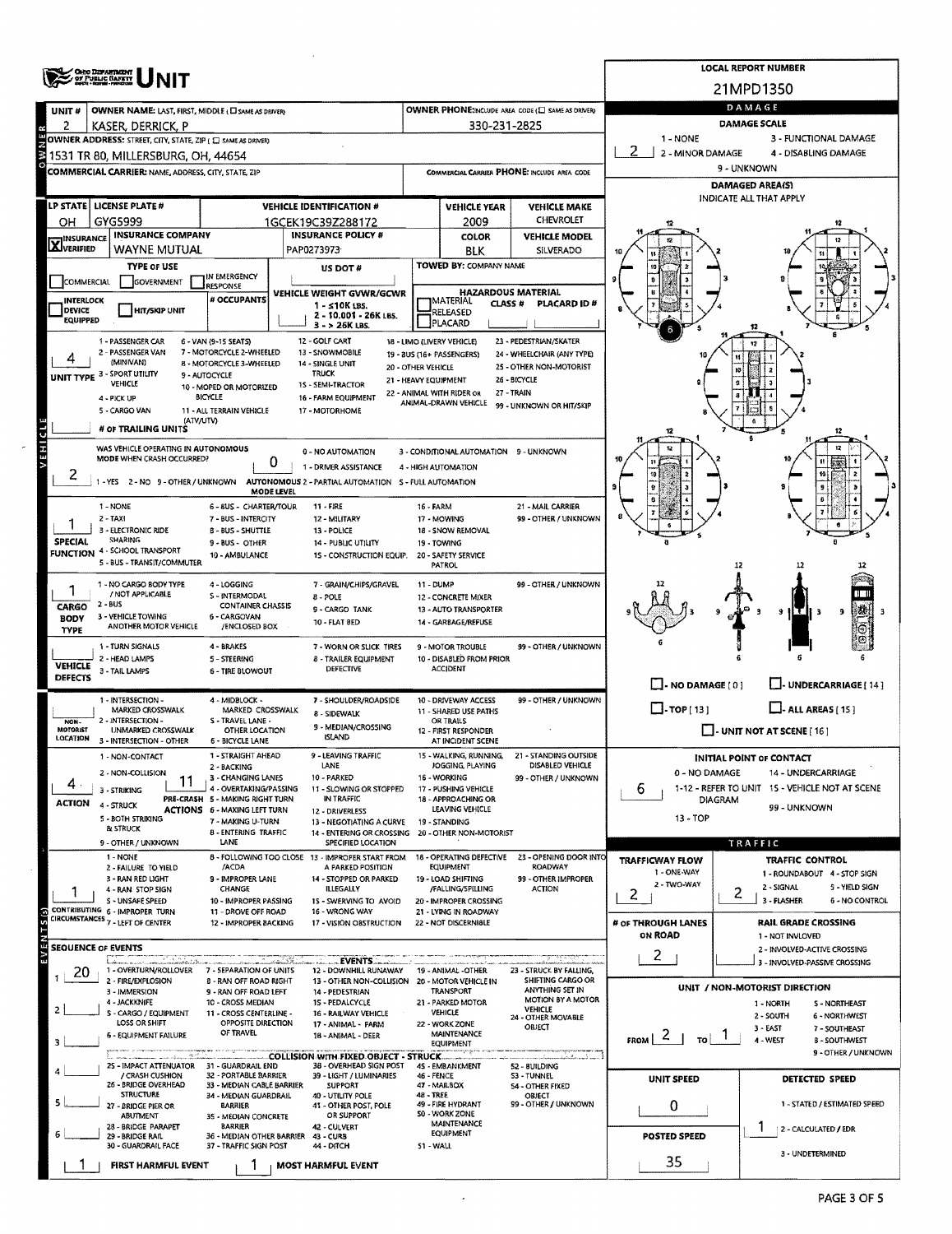|                                  | OHO DEPARTMENT                                                     |                                                               | <b>LOCAL REPORT NUMBER</b>                                                     |                                   |                                                                |                                                                  |                                                      |                                                               |  |  |  |  |
|----------------------------------|--------------------------------------------------------------------|---------------------------------------------------------------|--------------------------------------------------------------------------------|-----------------------------------|----------------------------------------------------------------|------------------------------------------------------------------|------------------------------------------------------|---------------------------------------------------------------|--|--|--|--|
|                                  |                                                                    |                                                               |                                                                                |                                   |                                                                |                                                                  |                                                      | 21MPD1350                                                     |  |  |  |  |
| UNIT#                            | OWNER NAME: LAST, FIRST, MIDDLE (CI SAME AS DRIVER)                |                                                               | DAMAGE                                                                         |                                   |                                                                |                                                                  |                                                      |                                                               |  |  |  |  |
| 2                                | KASER, DERRICK, P                                                  |                                                               | 330-231-2825                                                                   |                                   | <b>DAMAGE SCALE</b>                                            |                                                                  |                                                      |                                                               |  |  |  |  |
|                                  | OWNER ADDRESS: STREET, CITY, STATE, ZIP ( C) SAME AS DRIVER)       |                                                               |                                                                                | 1 - NONE<br>3 - FUNCTIONAL DAMAGE |                                                                |                                                                  |                                                      |                                                               |  |  |  |  |
|                                  | 1531 TR 80, MILLERSBURG, OH, 44654                                 |                                                               | 2 - MINOR DAMAGE<br>4 - DISABLING DAMAGE<br>9 - UNKNOWN                        |                                   |                                                                |                                                                  |                                                      |                                                               |  |  |  |  |
|                                  | COMMERCIAL CARRIER: NAME, ADDRESS, CITY, STATE, ZIP                |                                                               |                                                                                |                                   |                                                                | COMMERCIAL CARRIER PHONE: INCLUDE AREA CODE                      | DAMAGED AREA(S)                                      |                                                               |  |  |  |  |
|                                  |                                                                    |                                                               |                                                                                |                                   |                                                                |                                                                  | INDICATE ALL THAT APPLY                              |                                                               |  |  |  |  |
| OH                               | LP STATE LICENSE PLATE #<br>GYG5999                                |                                                               | <b>VEHICLE IDENTIFICATION #</b>                                                |                                   | <b>VEHICLE YEAR</b>                                            | <b>VEHICLE MAKE</b><br>CHEVROLET                                 |                                                      |                                                               |  |  |  |  |
|                                  | <b>INSURANCE COMPANY</b>                                           |                                                               | 1GCEK19C39Z288172<br><b>INSURANCE POLICY #</b>                                 |                                   | 2009<br>COLOR                                                  | <b>VEHICLE MODEL</b>                                             |                                                      |                                                               |  |  |  |  |
| <b>X</b> INSURANCE               | WAYNE MUTUAL                                                       |                                                               | PAP0273973<br>BLK<br><b>SILVERADO</b>                                          |                                   |                                                                |                                                                  |                                                      |                                                               |  |  |  |  |
|                                  | <b>TYPE OF USE</b>                                                 |                                                               | TOWED BY: COMPANY NAME<br>US DOT#                                              |                                   |                                                                |                                                                  |                                                      |                                                               |  |  |  |  |
| <b>COMMERCIAL</b>                | <b>GOVERNMENT</b>                                                  | IN EMERGENCY<br><b>RESPONSE</b>                               |                                                                                |                                   |                                                                |                                                                  |                                                      |                                                               |  |  |  |  |
| INTERLOCK                        |                                                                    | # OCCUPANTS                                                   | VEHICLE WEIGHT GVWR/GCWR<br>$1 - 510K$ 135.                                    |                                   | <b>HAZARDOUS MATERIAL</b><br><b>IMATERIAL</b><br><b>CLASS#</b> |                                                                  |                                                      |                                                               |  |  |  |  |
| <b>DEVICE</b><br><b>EQUIPPED</b> | <b>HIT/SKIP UNIT</b>                                               |                                                               | 2 - 10.001 - 26K LBS.<br>3 - > 26K LBS.                                        |                                   | RELEASED<br>PLACARD                                            |                                                                  |                                                      |                                                               |  |  |  |  |
|                                  | 1 - PASSENGER CAR                                                  | 6 - VAN (9-15 SEATS)                                          | 12 - GOLF CART                                                                 |                                   | 18 - LIMO (LIVERY VEHICLE)                                     | 23 - PEDESTRIAN/SKATER                                           |                                                      |                                                               |  |  |  |  |
|                                  | 2 - PASSENGER VAN<br>(MINIVAN)                                     | 7 - MOTORCYCLE 2-WHEELED                                      | 13 - SNOWMOBILE                                                                |                                   | 19 - BUS (16+ PASSENGERS)                                      | 24 - WHEELCHAIR (ANY TYPE)                                       |                                                      |                                                               |  |  |  |  |
|                                  | UNIT TYPE 3 - SPORT UTILITY                                        | 8 - MOTORCYCLE 3-WHEELED<br>9 - AUTOCYCLE                     | 14 - SINGLE UNIT<br><b>TRUCK</b>                                               | 20 - OTHER VEHICLE                |                                                                | 25 - OTHER NON-MOTORIST<br>26 - BICYCLE                          |                                                      |                                                               |  |  |  |  |
|                                  | <b>VEHICLE</b>                                                     | 10 - MOPED OR MOTORIZED<br><b>BICYCLE</b>                     | 15 - SEMI-TRACTOR                                                              |                                   | 21 - HEAVY EQUIPMENT<br>22 - ANIMAL WITH RIDER OR              | 27 - TRAIN                                                       |                                                      |                                                               |  |  |  |  |
|                                  | 4 - PICK UP<br>5 - CARGO VAN                                       | 11 - ALL TERRAIN VEHICLE                                      | 16 - FARM EQUIPMENT<br>17 - MOTORHOME                                          |                                   | ANIMAL-DRAWN VEHICLE                                           | 99 - UNKNOWN OR HIT/SKIP                                         |                                                      |                                                               |  |  |  |  |
|                                  | (ATV/UTV)<br># OF TRAILING UNITS                                   |                                                               |                                                                                |                                   |                                                                |                                                                  |                                                      |                                                               |  |  |  |  |
|                                  | WAS VEHICLE OPERATING IN AUTONOMOUS                                |                                                               | 0 - NO AUTOMATION                                                              |                                   |                                                                |                                                                  |                                                      | 12                                                            |  |  |  |  |
| VEHICL                           | MODE WHEN CRASH OCCURRED?                                          | 0                                                             | 3 - CONDITIONAL AUTOMATION 9 - UNKNOWN                                         |                                   |                                                                |                                                                  |                                                      |                                                               |  |  |  |  |
| ۷                                | 1-YES 2-NO 9-OTHER/UNKNOWN                                         |                                                               | 1 - DRIVER ASSISTANCE<br>AUTONOMOUS 2 - PARTIAL AUTOMATION 5 - FULL AUTOMATION |                                   | 4 - HIGH AUTOMATION                                            |                                                                  |                                                      | 10                                                            |  |  |  |  |
|                                  |                                                                    | MODE LEVEL                                                    |                                                                                |                                   |                                                                |                                                                  |                                                      |                                                               |  |  |  |  |
|                                  | 1 - NONE<br>$2 - TAXI$                                             | 6 - 8US - CHARTER/TOUR<br>7 - BUS - INTERCITY                 | 11 - FIRE<br>12 - MILITARY                                                     | 16 - FARM                         | 17 - MOWING                                                    | 21 - MAIL CARRIER<br>99 - OTHER / UNKNOWN                        |                                                      |                                                               |  |  |  |  |
|                                  | 3 - ELECTRONIC RIDE                                                | <b>B-BUS-SHUTTLE</b>                                          | 13 - POLICE                                                                    |                                   |                                                                |                                                                  |                                                      |                                                               |  |  |  |  |
| <b>SPECIAL</b>                   | <b>SHARING</b><br><b>FUNCTION 4 - SCHOOL TRANSPORT</b>             | 9 - BUS - OTHER                                               | 14 - PUBLIC UTILITY                                                            |                                   |                                                                |                                                                  |                                                      |                                                               |  |  |  |  |
|                                  | 5 - BUS - TRANSIT/COMMUTER                                         | 10 - AMBULANCE                                                | 15 - CONSTRUCTION EQUIP.                                                       |                                   | 20 - SAFETY SERVICE<br><b>PATROL</b>                           |                                                                  |                                                      |                                                               |  |  |  |  |
|                                  | 1 - NO CARGO BODY TYPE                                             | 4 - LOGGING                                                   | 7 - GRAIN/CHIPS/GRAVEL                                                         | 11 - DUMP                         |                                                                | 99 - OTHER / UNKNOWN                                             |                                                      |                                                               |  |  |  |  |
| CARGO                            | / NOT APPLICABLE<br>$2 - BUS$                                      | S - INTERMODAL<br><b>CONTAINER CHASSIS</b>                    | 8 - POLE                                                                       |                                   | 12 - CONCRETE MIXER                                            |                                                                  |                                                      |                                                               |  |  |  |  |
| <b>BODY</b>                      | 3 - VEHICLE TOWING                                                 | 6 - CARGOVAN                                                  | 9 - CARGO TANK<br>10 - FLAT BED                                                |                                   | 13 - AUTO TRANSPORTER<br>14 - GARBAGE/REFUSE                   |                                                                  |                                                      | 9                                                             |  |  |  |  |
| <b>TYPE</b>                      | ANOTHER MOTOR VEHICLE                                              | /ENCLOSED BOX                                                 |                                                                                |                                   |                                                                |                                                                  |                                                      |                                                               |  |  |  |  |
|                                  | 1 - TURN SIGNALS<br>2 - HEAD LAMPS                                 | 4 - BRAKES<br>5 - STEERING                                    | 7 - WORN OR SLICK TIRES<br><b>8 - TRAILER EQUIPMENT</b>                        |                                   | 9 - MOTOR TROUBLE<br>10 - DISABLED FROM PRIOR                  | 99 - OTHER / UNKNOWN                                             |                                                      |                                                               |  |  |  |  |
| <b>VEHICLE</b><br><b>DEFECTS</b> | 3 - TAIL LAMPS                                                     | <b>6 - TIRE BLOWOUT</b>                                       | <b>DEFECTIVE</b>                                                               |                                   | <b>ACCIDENT</b>                                                |                                                                  |                                                      |                                                               |  |  |  |  |
|                                  |                                                                    |                                                               |                                                                                |                                   |                                                                |                                                                  | $\Box$ - NO DAMAGE $\Box$<br>L. UNDERCARRIAGE [ 14 ] |                                                               |  |  |  |  |
|                                  | 1 - INTERSECTION -<br>MARKED CROSSWALK                             | 4 - MIDBLOCK -<br>MARKED CROSSWALK                            | 7 - SHOULDER/ROADSIDE<br>8 - SIDEWALK                                          |                                   | 10 - DRIVEWAY ACCESS<br>11 - SHARED USE PATHS                  | 99 - OTHER / UNKNOWN                                             | $\Box$ -TOP[13]<br>$\Box$ - ALL AREAS (15)           |                                                               |  |  |  |  |
| NON-<br><b>MOTORIST</b>          | 2 - INTERSECTION -<br><b>UNMARKED CROSSWALK</b>                    | S - TRAVEL LANE -<br>OTHER LOCATION                           | 9 - MEDIAN/CROSSING                                                            |                                   | OR TRAILS<br>12 - FIRST RESPONDER                              |                                                                  | - UNIT NOT AT SCENE [ 16 ]                           |                                                               |  |  |  |  |
| <b>LOCATION</b>                  | 3 - INTERSECTION - OTHER                                           | <b>6 - BICYCLE LANE</b>                                       | <b>ISLAND</b>                                                                  |                                   | AT INCIDENT SCENE                                              |                                                                  |                                                      |                                                               |  |  |  |  |
|                                  | 1 - NON-CONTACT                                                    | 1 - STRAIGHT AHEAD                                            | <b>9 - I FAVING TRAFFIC</b><br>LANE                                            |                                   | JOGGING, PLAYING                                               | 15 - WALKING, RUNNING. 21 - STANDING OUTSIDE<br>DISABLED VEHICLE |                                                      | <b>INITIAL POINT OF CONTACT</b>                               |  |  |  |  |
|                                  | 2 - NON-COLLISION                                                  | 2 - BACKING<br>3 - CHANGING LANES                             | 10 - PARKED                                                                    |                                   | 16 - WORKING                                                   | 99 - OTHER / UNKNOWN                                             | 0 - NO DAMAGE                                        | 14 - UNDERCARRIAGE                                            |  |  |  |  |
| 4                                | 3 - STRIKING                                                       | 4 - OVERTAKING/PASSING<br>PRE-CRASH 5 - MAKING RIGHT TURN     | 11 - SLOWING OR STOPPED<br>IN TRAFFIC                                          |                                   | 17 - PUSHING VEHICLE<br>18 - APPROACHING OR                    |                                                                  | 6                                                    | 1-12 - REFER TO UNIT 15 - VEHICLE NOT AT SCENE<br>DIAGRAM     |  |  |  |  |
| <b>ACTION</b>                    | 4 - STRUCK                                                         | <b>ACTIONS 6 - MAXING LEFT TURN</b>                           | 12 - DRIVERLESS                                                                |                                   | LEAVING VEHICLE                                                |                                                                  | $13 - TOP$                                           | 99 - UNKNOWN                                                  |  |  |  |  |
|                                  | 5 - BOTH STRIKING<br><b>&amp; STRUCK</b>                           | 7 - MAKING U-TURN<br>8 - ENTERING TRAFFIC                     | 13 - NEGOTIATING A CURVE<br>14 - ENTERING OR CROSSING                          |                                   | 19 - STANDING<br>20 - OTHER NON-MOTORIST                       |                                                                  |                                                      |                                                               |  |  |  |  |
|                                  | 9 - OTHER / UNKNOWN                                                | <b>IANE</b>                                                   | SPECIFIED LOCATION                                                             |                                   |                                                                |                                                                  |                                                      | TRAFFIC                                                       |  |  |  |  |
|                                  | 1 - NONE<br>2 - FAILURE TO YIELD                                   | /ACDA                                                         | 8 - FOLLOWING TOO CLOSE 13 - IMPROPER START FROM<br>A PARKED POSITION          |                                   | 18 - OPERATING DEFECTIVE<br><b>EQUIPMENT</b>                   | 23 - OPENING DOOR INTO<br><b>ROADWAY</b>                         | TRAFFICWAY FLOW                                      | <b>TRAFFIC CONTROL</b>                                        |  |  |  |  |
|                                  | 3 - RAN RED LIGHT                                                  | 9 - IMPROPER LANE                                             | 14 - STOPPED OR PARKED                                                         |                                   | 19 - LOAD SHIFTING                                             | 99 - OTHER IMPROPER                                              | 1 - ONE-WAY<br>2 - TWO-WAY                           | 1 - ROUNDABOUT 4 - STOP SIGN<br>5 - YIELD SIGN<br>2 - SIGNAL  |  |  |  |  |
|                                  | 4 - RAN STOP SIGN<br>S - UNSAFE SPEED                              | CHANGE<br>10 - IMPROPER PASSING                               | <b>ILLEGALLY</b><br>15 - SWERVING TO AVOID                                     |                                   | /FALLING/SPILLING<br>20 - IMPROPER CROSSING                    | <b>ACTION</b>                                                    | 2                                                    | 2<br>3 - FLASHER<br>6 - NO CONTROL                            |  |  |  |  |
|                                  | CONTRIBUTING 6 - IMPROPER TURN<br>CIRCUMSTANCES 7 - LEFT OF CENTER | 11 - DROVE OFF ROAD                                           | 16 - WRONG WAY                                                                 |                                   | 21 - LYING IN ROADWAY                                          |                                                                  |                                                      | <b>RAIL GRADE CROSSING</b>                                    |  |  |  |  |
| EVENTS <sub>(S)</sub>            |                                                                    | 12 - IMPROPER BACKING                                         | 17 - VISION OBSTRUCTION                                                        |                                   | 22 - NOT DISCERNIBLE                                           |                                                                  | # or THROUGH LANES<br>ON ROAD                        | 1 - NOT INVLOVED                                              |  |  |  |  |
| <b>SEQUENCE OF EVENTS</b>        |                                                                    |                                                               |                                                                                |                                   |                                                                |                                                                  | 2                                                    | 2 - INVOLVED-ACTIVE CROSSING                                  |  |  |  |  |
| 20                               | 1 - OVERTURN/ROLLOVER                                              | 7 - SEPARATION OF UNITS                                       | <b>EVENTS:</b><br>12 - DOWNHILL RUNAWAY                                        |                                   | 19 - ANIMAL -OTHER                                             | 23 - STRUCK BY FALLING.                                          |                                                      | 3 - INVOLVED-PASSIVE CROSSING                                 |  |  |  |  |
|                                  | 2 - FIRE/EXPLOSION<br>3 - IMMERSION                                | <b>B-RAN OFF ROAD RIGHT</b><br>9 - RAN OFF ROAD LEFT          | 13 - OTHER NON-COLLISION<br>14 - PEDESTRIAN                                    |                                   | 26 - MOTOR VEHICLE IN<br><b>TRANSPORT</b>                      | SHIFTING CARGO OR<br>ANYTHING SET IN                             |                                                      | UNIT / NON-MOTORIST DIRECTION                                 |  |  |  |  |
|                                  | 4 - JACKKNIFE                                                      | 10 - CROSS MEDIAN                                             | 15 - PEDALCYCLE                                                                |                                   | 21 - PARKED MOTOR                                              | MOTION BY A MOTOR<br>VEHICLE                                     |                                                      | 1 - NORTH<br>S - NORTHEAST                                    |  |  |  |  |
|                                  | S - CARGO / EQUIPMENT<br>LOSS OR SHIFT                             | 11 - CROSS CENTERLINE -<br>OPPOSITE DIRECTION                 | <b>16 - RAILWAY VEHICLE</b><br>17 - ANIMAL - FARM                              |                                   | <b>VEHICLE</b><br>22 - WORK ZONE                               | 24 - OTHER MOVABLE<br>OBJECT                                     |                                                      | 2 - SOUTH<br>6 - NORTHWEST                                    |  |  |  |  |
|                                  | 6 - EQUIPMENT FAILURE                                              | OF TRAVEL                                                     | 18 - ANIMAL - DEER                                                             |                                   | <b>MAINTENANCE</b><br><b>EQUIPMENT</b>                         |                                                                  | FROM $\vert$ $\vert$ $\vert$ $\vert$ to $\vert$      | $3 - EAST$<br>7 - SOUTHEAST<br>4 - WEST<br><b>B-SOUTHWEST</b> |  |  |  |  |
|                                  | م در دید.<br>تصنعیت در دوروه دیگر از دارد در در                    |                                                               | COLLISION WITH FIXED OBJECT - STRUCK                                           |                                   |                                                                | an shanana katalog wake wa k                                     |                                                      | 9 - OTHER / UNKNOWN                                           |  |  |  |  |
|                                  | 25 - IMPACT ATTENUATOR 31 - GUARDRAIL END<br>/ CRASH CUSHION       | 32 - PORTABLE BARRIER                                         | 38 - OVERHEAD SIGN POST<br>39 - LIGHT / LUMINARIES                             | 46 - FENCE                        | 4S - EMBANKMENT                                                | 52 - BUILDING<br><b>S3 - TUNNEL</b>                              | UNIT SPEED                                           | DETECTED SPEED                                                |  |  |  |  |
|                                  | 26 - BRIDGE OVERHEAD<br><b>STRUCTURE</b>                           | 33 - MEDIAN CABLE BARRIER<br>34 - MEDIAN GUARDRAIL            | <b>SUPPORT</b><br>40 - UTILITY POLE                                            | 48 - TREE                         | 47 - MAILBOX                                                   | 54 - OTHER FIXED<br>OBJECT                                       |                                                      |                                                               |  |  |  |  |
|                                  | 27 - BRIDGE PIER OR                                                | <b>BARRIER</b>                                                | 41 - OTHER POST, POLE                                                          |                                   | 49 - FIRE HYDRANT<br>S0 - WORK ZONE                            | 99 - OTHER / UNKNOWN                                             | 0                                                    | 1 - STATED / ESTIMATED SPEED                                  |  |  |  |  |
|                                  | ABUTMENT<br>28 - BRIDGE PARAPET                                    | 35 - MEDIAN CONCRETE<br><b>BARRIER</b>                        | OR SUPPORT<br>42 - CULVERT                                                     |                                   | <b>MAINTENANCE</b>                                             |                                                                  |                                                      | 2 - CALCULATED / EDR                                          |  |  |  |  |
|                                  | 29 - BRIDGE RAIL<br>30 - GUARDRAIL FACE                            | 36 - MEDIAN OTHER BARRIER 43 - CURB<br>37 - TRAFFIC SIGN POST | 44 - DITCH                                                                     | 51 - WALL                         | <b>EQUIPMENT</b>                                               |                                                                  | <b>POSTED SPEED</b>                                  |                                                               |  |  |  |  |
|                                  | <b>FIRST HARMFUL EVENT</b>                                         |                                                               | <b>MOST HARMFUL EVENT</b>                                                      |                                   |                                                                |                                                                  | 35                                                   | 3 - UNDETERMINED                                              |  |  |  |  |
|                                  |                                                                    |                                                               |                                                                                |                                   |                                                                |                                                                  |                                                      |                                                               |  |  |  |  |

 $\mathcal{L}$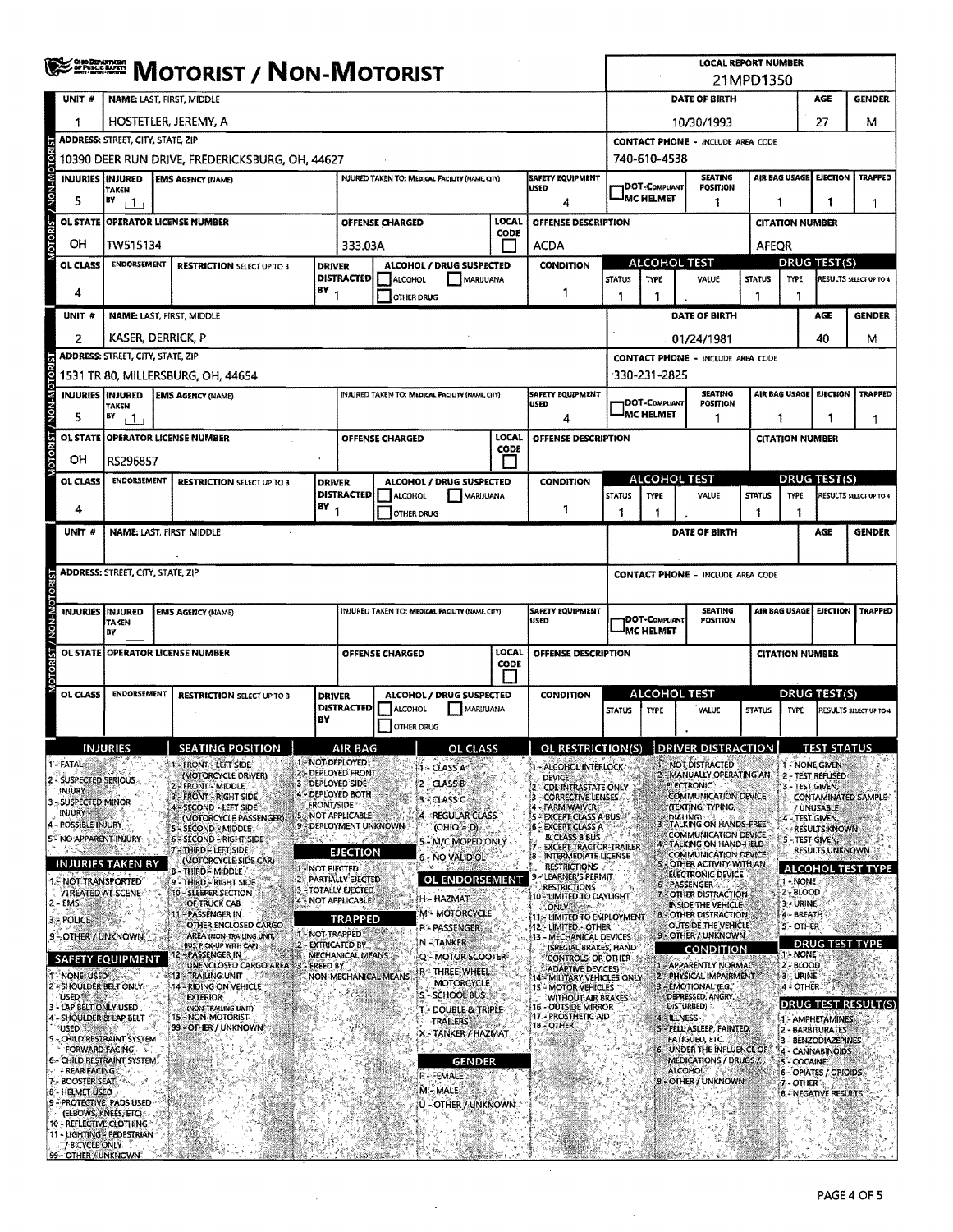|                                                        | <b>NOTORIST / NON-MOTORIST</b>                                                                                         |  |                                                                             |                      |                                                                                       |                                                 |                                                  |                                 |                                                                                      | <b>LOCAL REPORT NUMBER</b><br>21MPD1350  |                                                |                                                                       |               |                                          |                               |                          |  |
|--------------------------------------------------------|------------------------------------------------------------------------------------------------------------------------|--|-----------------------------------------------------------------------------|----------------------|---------------------------------------------------------------------------------------|-------------------------------------------------|--------------------------------------------------|---------------------------------|--------------------------------------------------------------------------------------|------------------------------------------|------------------------------------------------|-----------------------------------------------------------------------|---------------|------------------------------------------|-------------------------------|--------------------------|--|
| UNIT #                                                 | NAME: LAST, FIRST, MIDDLE                                                                                              |  |                                                                             |                      |                                                                                       |                                                 |                                                  |                                 |                                                                                      |                                          | DATE OF BIRTH<br>AGE<br><b>GENDER</b>          |                                                                       |               |                                          |                               |                          |  |
| 1                                                      | HOSTETLER, JEREMY, A                                                                                                   |  |                                                                             |                      |                                                                                       |                                                 |                                                  |                                 |                                                                                      | 10/30/1993                               |                                                |                                                                       |               |                                          | 27                            | м                        |  |
|                                                        | <b>ADDRESS: STREET, CITY, STATE, ZIP</b>                                                                               |  |                                                                             |                      |                                                                                       |                                                 |                                                  |                                 |                                                                                      |                                          | <b>CONTACT PHONE - INCLUDE AREA CODE</b>       |                                                                       |               |                                          |                               |                          |  |
| NON-MOTOR                                              | 10390 DEER RUN DRIVE, FREDERICKSBURG, OH, 44627                                                                        |  |                                                                             |                      |                                                                                       |                                                 |                                                  |                                 |                                                                                      | 740-610-4538                             |                                                |                                                                       |               |                                          |                               |                          |  |
| INJURIES INJURED                                       | <b>TAKEN</b>                                                                                                           |  | <b>EMS AGENCY (NAME)</b>                                                    |                      |                                                                                       | INJURED TAKEN TO: MEDICAL FACILITY (NAME, CITY) |                                                  |                                 | <b>SAFETY EQUIPMENT</b><br>USED                                                      |                                          | 1DOT-COMPLIANT                                 | <b>SEATING</b><br><b>POSITION</b>                                     |               | AIR BAG USAGE EIECTION                   |                               | <b>TRAPPED</b>           |  |
| 5                                                      | BY<br>$\pm$ 1 $\pm$                                                                                                    |  |                                                                             |                      |                                                                                       |                                                 |                                                  |                                 | 4                                                                                    |                                          | <b>IMC HELMET</b>                              | 1                                                                     |               | 1<br>1<br>1                              |                               |                          |  |
| <b>OL STATE</b>                                        |                                                                                                                        |  | <b>OPERATOR LICENSE NUMBER</b>                                              |                      |                                                                                       | OFFENSE CHARGED                                 |                                                  | <b>LOCAL</b><br>CODE            | OFFENSE DESCRIPTION                                                                  |                                          |                                                |                                                                       |               |                                          | <b>CITATION NUMBER</b>        |                          |  |
| OН                                                     | TW515134                                                                                                               |  |                                                                             |                      | 333.03A                                                                               |                                                 |                                                  |                                 | <b>ACDA</b>                                                                          |                                          |                                                |                                                                       |               | AFEQR<br><b>DRUG TEST(S)</b>             |                               |                          |  |
| OL CLASS                                               | <b>ENDORSEMENT</b><br><b>RESTRICTION SELECT UP TO 3</b><br><b>DRIVER</b>                                               |  |                                                                             |                      | ALCOHOL / DRUG SUSPECTED<br><b>DISTRACTED</b><br>ALCOHOL<br>MARIJUANA                 |                                                 |                                                  | <b>CONDITION</b>                | <b>STATUS</b>                                                                        | <b>ALCOHOL TEST</b><br><b>TYPE</b>       | VALUE                                          | <b>STATUS</b>                                                         | <b>TYPE</b>   |                                          | RESULTS SELECT UP TO 4        |                          |  |
| 4                                                      |                                                                                                                        |  |                                                                             | (BY <sub>1</sub>     |                                                                                       | OTHER DRUG                                      |                                                  |                                 | -1                                                                                   | 1                                        | 1                                              |                                                                       | 1             | 1                                        |                               |                          |  |
| UNIT#                                                  | <b>NAME: LAST, FIRST, MIDDLE</b>                                                                                       |  |                                                                             |                      |                                                                                       |                                                 |                                                  |                                 |                                                                                      |                                          |                                                | DATE OF BIRTH                                                         |               |                                          | <b>AGE</b>                    | <b>GENDER</b>            |  |
| $\overline{2}$                                         | KASER, DERRICK, P                                                                                                      |  |                                                                             |                      |                                                                                       |                                                 |                                                  |                                 |                                                                                      |                                          |                                                | 01/24/1981                                                            |               |                                          | 40                            | м                        |  |
|                                                        | <b>ADDRESS: STREET, CITY, STATE, ZIP</b>                                                                               |  |                                                                             |                      |                                                                                       |                                                 |                                                  |                                 |                                                                                      |                                          | 330-231-2825                                   | <b>CONTACT PHONE - INCLUDE AREA CODE</b>                              |               |                                          |                               |                          |  |
|                                                        | <b>INJURIES INJURED</b>                                                                                                |  | 1531 TR 80, MILLERSBURG, OH, 44654<br><b>EMS AGENCY (NAME)</b>              |                      |                                                                                       | INJURED TAKEN TO: MEDICAL FACILITY (NAME, CITY) |                                                  |                                 | SAFETY EQUIPMENT                                                                     |                                          |                                                | <b>SEATING</b>                                                        |               | AIR BAG USAGE                            | EJECTION                      | <b>TRAPPED</b>           |  |
| <b>NON-MOTORIST</b><br>5                               | TAKEN<br>BY<br>11                                                                                                      |  |                                                                             |                      |                                                                                       |                                                 |                                                  |                                 | <b>USED</b><br>4                                                                     |                                          | <b>DOT-COMPLIANT</b><br><sup>I</sup> MC HELMET | POSITION<br>-1                                                        | 1             | 1                                        |                               |                          |  |
| <b>OL STATE</b>                                        |                                                                                                                        |  | <b>OPERATOR LICENSE NUMBER</b>                                              |                      |                                                                                       | OFFENSE CHARGED                                 |                                                  | LOCAL                           | <b>OFFENSE DESCRIPTION</b>                                                           |                                          |                                                |                                                                       |               | <b>CITATION NUMBER</b>                   |                               | 1                        |  |
| OН                                                     | RS296857                                                                                                               |  |                                                                             |                      |                                                                                       |                                                 |                                                  | CODE                            |                                                                                      |                                          |                                                |                                                                       |               |                                          |                               |                          |  |
| OL CLASS                                               | <b>ENDORSEMENT</b>                                                                                                     |  | <b>RESTRICTION SELECT UP TO 3</b>                                           | <b>DRIVER</b>        |                                                                                       |                                                 | ALCOHOL / DRUG SUSPECTED                         |                                 | <b>CONDITION</b>                                                                     |                                          | <b>ALCOHOL TEST</b>                            |                                                                       |               | DRUG TEST(S)                             |                               |                          |  |
|                                                        |                                                                                                                        |  |                                                                             | $\frac{18Y}{1}$      | DISTRACTED  ALCOHOL<br>MARUUANA                                                       |                                                 |                                                  |                                 | <b>STATUS</b>                                                                        | <b>TYPE</b>                              | VALUE                                          | <b>STATUS</b>                                                         | <b>TYPE</b>   |                                          | <b>RESULTS SELECT UP TO 4</b> |                          |  |
| 4<br>UNIT #                                            |                                                                                                                        |  |                                                                             |                      |                                                                                       | OTHER DRUG                                      |                                                  |                                 | 1                                                                                    | 1                                        | 1                                              | DATE OF BIRTH                                                         | 1             | 1                                        | AGE                           | <b>GENDER</b>            |  |
|                                                        | NAME: LAST, FIRST, MIDDLE                                                                                              |  |                                                                             |                      |                                                                                       |                                                 |                                                  |                                 |                                                                                      |                                          |                                                |                                                                       |               |                                          |                               |                          |  |
|                                                        | <b>ADDRESS: STREET, CITY, STATE, ZIP</b>                                                                               |  |                                                                             |                      |                                                                                       |                                                 |                                                  |                                 |                                                                                      | <b>CONTACT PHONE - INCLUDE AREA CODE</b> |                                                |                                                                       |               |                                          |                               |                          |  |
|                                                        |                                                                                                                        |  |                                                                             |                      |                                                                                       |                                                 |                                                  |                                 |                                                                                      |                                          |                                                |                                                                       |               |                                          |                               |                          |  |
|                                                        | <b>INJURIES INJURED</b><br>INJURED TAKEN TO: MEDICAL FACILITY (NAME, CITY)<br><b>EMS AGENCY (NAME)</b><br><b>TAKEN</b> |  |                                                                             |                      |                                                                                       |                                                 |                                                  | <b>SAFETY EQUIPMENT</b><br>USED |                                                                                      | DOT-Compliant                            | <b>SEATING</b><br>POSITION                     |                                                                       | AIR BAG USAGE | <b>EJECTION</b>                          | <b>TRAPPED</b>                |                          |  |
| NON-                                                   | BY                                                                                                                     |  |                                                                             |                      |                                                                                       |                                                 |                                                  |                                 |                                                                                      | <b>IMC HELMET</b>                        |                                                |                                                                       |               |                                          |                               |                          |  |
| <b>TORIST</b><br><b>OL STATE</b>                       |                                                                                                                        |  | <b>OPERATOR LICENSE NUMBER</b>                                              |                      |                                                                                       | OFFENSE CHARGED                                 |                                                  | LOCAL<br><b>CODE</b>            | OFFENSE DESCRIPTION                                                                  | <b>CITATION NUMBER</b>                   |                                                |                                                                       |               |                                          |                               |                          |  |
| OL CLASS                                               | <b>ENDORSEMENT</b>                                                                                                     |  |                                                                             |                      |                                                                                       |                                                 |                                                  |                                 | <b>CONDITION</b>                                                                     |                                          | <b>ALCOHOL TEST</b>                            |                                                                       |               | <b>DRUG TEST(S)</b>                      |                               |                          |  |
|                                                        |                                                                                                                        |  | <b>RESTRICTION SELECT UP TO 3</b>                                           |                      | ALCOHOL / DRUG SUSPECTED<br><b>DRIVER</b><br><b>DISTRACTED</b><br>ALCOHOL<br>MARUUANA |                                                 |                                                  |                                 | <b>STATUS</b>                                                                        | TYPE                                     | VALUE                                          | <b>STATUS</b>                                                         | TYPE          |                                          | RESULTS SELECT UP TO 4        |                          |  |
|                                                        |                                                                                                                        |  |                                                                             | BY                   |                                                                                       | OTHER DRUG                                      |                                                  |                                 |                                                                                      |                                          |                                                |                                                                       |               |                                          |                               |                          |  |
|                                                        | <b>INJURIES</b>                                                                                                        |  | <b>SEATING POSITION</b>                                                     |                      | AIR RAG<br>1-NOT DEPLOYED                                                             |                                                 | OL CLASS                                         |                                 | OL RESTRICTION(S) DRIVER DISTRACTION                                                 |                                          |                                                |                                                                       |               | <b>1 - NONE GIVEN</b>                    | <b>TEST STATUS</b>            |                          |  |
| - FATAL -<br>2 - SUSPECTED SERIOUS                     |                                                                                                                        |  | 1- FRONT - LEFT SIDE<br>(MOTORCYCLE DRIVER)<br>FRONT - MIDDLE               |                      | 2:- DEPLOYED FRONT<br>3-DEPLOYED SIDE                                                 |                                                 | 1 - CLASS A<br>$2 - CLASSB$                      |                                 | 1 - ALCOHOL INTERLOCK<br><b>DEVICE</b>                                               |                                          |                                                | <b>NOT DISTRACTED</b><br>MANUALLY OPERATING AN<br><b>ELECTRONIC®</b>  |               | 2 - TEST REFUSED<br>3 - TEST GIVEN,      |                               |                          |  |
| <b>INJURY</b><br>3 - SUSPECTED MINOR                   |                                                                                                                        |  | <b>FRONT - RIGHT SIDE</b><br>SECOND - LEFT SIDE                             | FRONT/SIDE           | 4 - DEPLOYED BOTH                                                                     |                                                 | 3 - CLASS C                                      |                                 | - CDL INTRASTATE ONLY<br>- CORRECTIVE LENSES<br>- FARM WAIVER                        |                                          |                                                | COMMUNICATION DEVICE<br><b>ITEXTING, TYPING.</b>                      |               |                                          | / UNUSABLE                    | CONTAMINATED SAMPLE      |  |
| <b>INJURY</b><br><b>POSSIBLE INJURY</b>                |                                                                                                                        |  | (MOTORCYCLE PASSENGER).<br>- SECOND : MIDDLE                                |                      | NOT APPLICABLE<br>9 - DEPLOYMENT UNKNOWN                                              |                                                 | 4 - REGULAR CLASS<br>$(OHIO = D)$                |                                 | 5 - EXCEPT CLASS A BUS<br><b>6 - EXCEPT CLASS A</b>                                  |                                          |                                                | <b>DIAI INGIN</b><br>TALKING ON HANDS-FREE                            |               | 4 - TEST GIVEN,                          | <b>RESULTS KNOWN</b>          |                          |  |
| 5- NO APPARENT INJURY                                  |                                                                                                                        |  | 6 - SECOND - RIGHT SIDE<br>- THIRD - LEFT SIDE                              |                      | <b>EJECTION</b>                                                                       |                                                 | 5 - M/C MOPED ONLY                               |                                 | & CLASS B BUS<br><b>EXCEPT TRACTOR-TRAILER</b>                                       |                                          |                                                | COMMUNICATION DEVICE<br>TALKING ON HAND-HELD.<br>COMMUNICATION DEVICE |               | <b>5 - TEST GIVEN!</b>                   | RESULTS UNKNOWN               |                          |  |
|                                                        | INJURIES TAKEN BY                                                                                                      |  | (MOTORCYCLE SIDE CAR)<br>b - Third - Middle /                               | <b>T-NOT EIECTED</b> |                                                                                       |                                                 | 6 - NO VALID OL                                  |                                 | - INTERMEDIATE LICENSE<br>48<br><b>RESTRICTIONS</b><br>LEARNER'S PERMIT              |                                          |                                                | OTHER ACTIVITY WITH AN<br>ELECTRONIC DEVICE                           |               |                                          |                               | <b>ALCOHOL TEST TYPE</b> |  |
| <b>NOT TRANSPORTED</b><br><b>/TREATED AT SCENE</b>     |                                                                                                                        |  | 9 - THIRD - RIGHT SIDE<br>10 - SLEEPER SECTION                              |                      | 2 PARTIALLY EJECTED<br><b>3 - TOTALLY EJECTED</b>                                     |                                                 | OL ENDORSEMENT<br>H - HAZMAT                     |                                 | <b>RESTRICTIONS</b><br>10'- LIMITED TO DAYLIGHT                                      |                                          |                                                | 6 - PASSENGER<br>7 - OTHER DISTRACTION                                |               | 1-NONE<br>$2 - 8$ LOOD                   |                               |                          |  |
| 2 - EMS<br>3 - POLICE                                  | 28.5                                                                                                                   |  | OF TRUCK CAB<br><b>PASSENGER IN</b>                                         |                      | 4 - NOT APPLICABLE<br><b>TRAPPED</b>                                                  |                                                 | M"- MOTORCYCLE                                   |                                 | ONLY The part of<br>11. LIMITED TO EMPLOYMENT                                        |                                          |                                                | INSIDE THE VEHICLE<br><b>B - OTHER DISTRACTION:</b>                   |               | 3 URINE<br>4 - BREATH                    |                               |                          |  |
| 9 - OTHER / UNKNOWN                                    |                                                                                                                        |  | OTHER ENCLOSED CARGO.<br>AREA (NON-TRAILING UNIT)                           | 1 - NOT TRAPPED      |                                                                                       |                                                 | P'- PASSENGER<br>N-TANKER                        |                                 | 412 - Limited - Other<br>13 - MECHANICAL DEVICES.                                    |                                          |                                                | OUTSIDE THE VEHICLE<br>9 - OTHER / UNKNOWN                            |               | 5 - OTHER                                |                               | <b>DRUG TEST TYPE</b>    |  |
| <b>SAFETY EQUIPMENT</b>                                |                                                                                                                        |  | BUS, PICK-UP WITH CAP)<br>PASSENGER IN<br>UNENCLOSED CARGO AREA 3. FREED BY |                      | 2 - EXTRICATED BY<br>MECHANICAL MEANS                                                 |                                                 | Q - MOTOR SCOOTER                                |                                 | (SPECIAL BRAKES, HAND<br>'CONTROLS, OR OTHER-                                        |                                          |                                                | <b>CONDITION</b><br>- APPARENTLY NORMAL                               |               | 1 - NONE<br>2 BLOOD                      |                               |                          |  |
| NONE USED<br>2-SHOULDER BELT ONLY                      |                                                                                                                        |  | <b>13 - TRAILING UNIT</b>                                                   |                      |                                                                                       | NON-MECHANICAL MEANS                            | r - Three-Wheel<br>MOTORCYCLE                    |                                 | <b>ADAPTIVE DEVICES)</b><br>14* MILITARY VEHICLES ONLY<br><b>15 - MOTOR VEHICLES</b> |                                          |                                                | 2 - PHYSICAL IMPAIRMENT<br>3 - EMOTIONAL (E.G.                        |               | 3 - URINE<br>4 - OTHER                   |                               |                          |  |
| USED 穩.<br>3 - LAP BELT ONLY USED                      | 14 - RIDING ON VEHICLE<br>- SCHOOL BUS<br><b>EXTERIOR</b><br>(NON-TRAILING UNIT)<br>T - DOUBLE & TRIPLE                |  |                                                                             |                      |                                                                                       |                                                 | <b>WITHOUT AIR BRAKES</b><br>16 - OUTSIDE MIRROR |                                 |                                                                                      | DEPRESSED, ANGRY,<br>DISTURBED)          |                                                |                                                                       |               | DRUG TEST RESULT(S)                      |                               |                          |  |
| 4 - SHOULDER & LAP BELT<br>USED SAME AS                |                                                                                                                        |  | 15 NON-MOTORIST<br>99 - OTHER / UNKNOWN                                     |                      |                                                                                       |                                                 | TRAILERS<br>X.- TANKER / HAZMAT                  |                                 | <b>17 - PROSTHETIC AID</b><br>18 - OTHER                                             |                                          | 4 - ILLNESS                                    | S - FELL ASLEEP, FAINTED,                                             |               | 1 - AMPHETAMINES<br>2 - BARBITURATES     |                               |                          |  |
|                                                        | CHILD RESTRAINT SYSTEM<br>FORWARD FACING &                                                                             |  |                                                                             |                      |                                                                                       |                                                 | $\mathcal{E}_{\text{sing}}^{s_2}$                |                                 |                                                                                      |                                          |                                                | FATIGUED, ETC.<br>6 - UNDER THE INFLUENCE OF                          |               | 4 - CANNABINOIDS                         | - BENZODIAZEPINES             |                          |  |
| 6- CHILD RESTRAINT SYSTEM.<br>- REAR FACINGS           |                                                                                                                        |  |                                                                             |                      |                                                                                       |                                                 | <b>GENDER</b><br>F - FEMALE                      |                                 |                                                                                      |                                          |                                                | MEDICATIONS / DRUGS /<br><b>ALCOHOL</b>                               |               | - COCAINE                                | - OPIATES / OPIOIDS           |                          |  |
| 7. BOOSTER SEAT.<br>8 - HELMET USED                    |                                                                                                                        |  |                                                                             |                      |                                                                                       |                                                 | M. MALE                                          |                                 |                                                                                      |                                          |                                                | - OTHER / UNKNOWN                                                     |               | 7 - OTHER<br><b>8 - NEGATIVE RESULTS</b> |                               |                          |  |
| 9 - PROTECTIVE, PADS USED                              | (ELBOWS, KNEES, ETC)                                                                                                   |  |                                                                             |                      |                                                                                       |                                                 | U - OTHER / UNKNOWN                              |                                 |                                                                                      |                                          |                                                |                                                                       |               |                                          |                               |                          |  |
| 10 - REFLECTIVE CLOTHING<br>11 - LIGHTING - PEDESTRIAN |                                                                                                                        |  |                                                                             |                      |                                                                                       |                                                 |                                                  |                                 |                                                                                      |                                          |                                                |                                                                       |               |                                          |                               |                          |  |
| / BICYCLE ONLY<br>99 - OTHER / UNKNOWN                 |                                                                                                                        |  |                                                                             |                      |                                                                                       |                                                 |                                                  |                                 |                                                                                      |                                          |                                                |                                                                       |               |                                          |                               |                          |  |

 $\sim$ 

 $\hat{\mathcal{A}}$ 

 $\mathcal{A}^{\prime}$ 

 $\sim$